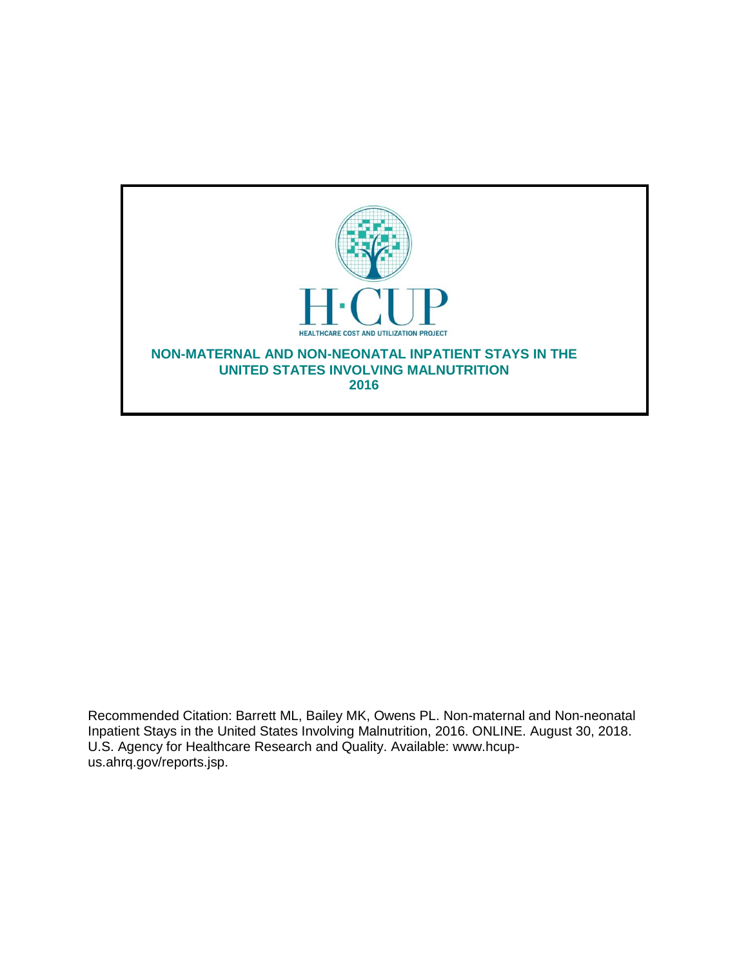

Recommended Citation: Barrett ML, Bailey MK, Owens PL. Non-maternal and Non-neonatal Inpatient Stays in the United States Involving Malnutrition, 2016. ONLINE. August 30, 2018. U.S. Agency for Healthcare Research and Quality. Available: www.hcupus.ahrq.gov/reports.jsp.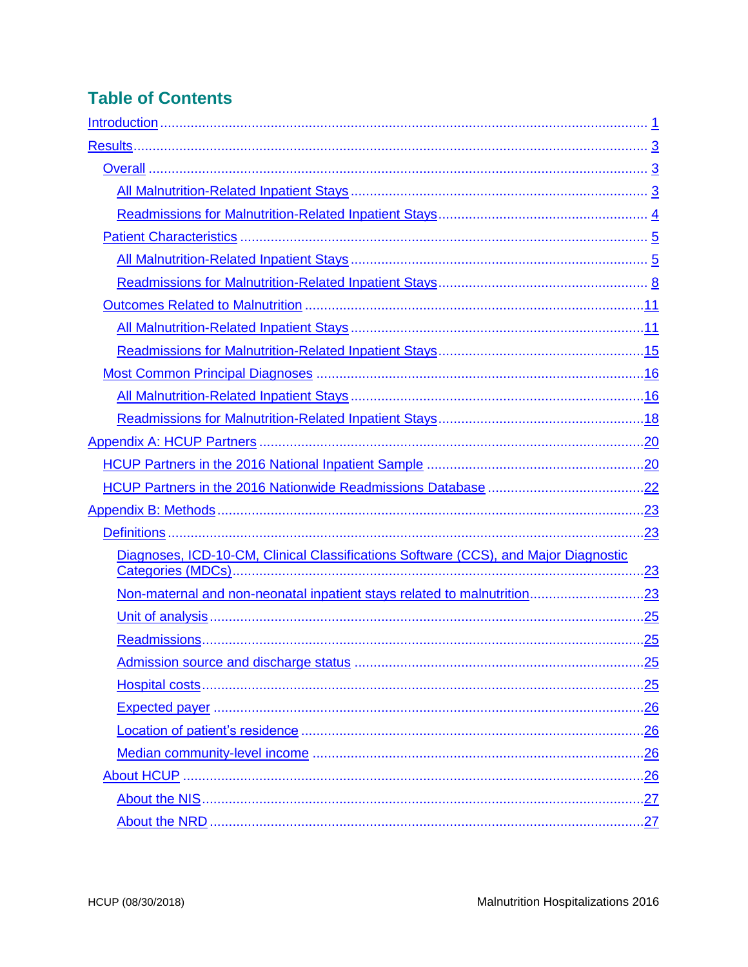# **Table of Contents**

| .23        |
|------------|
| .23        |
|            |
| <u>.25</u> |
|            |
| .25        |
| .26        |
|            |
|            |
|            |
|            |
|            |
|            |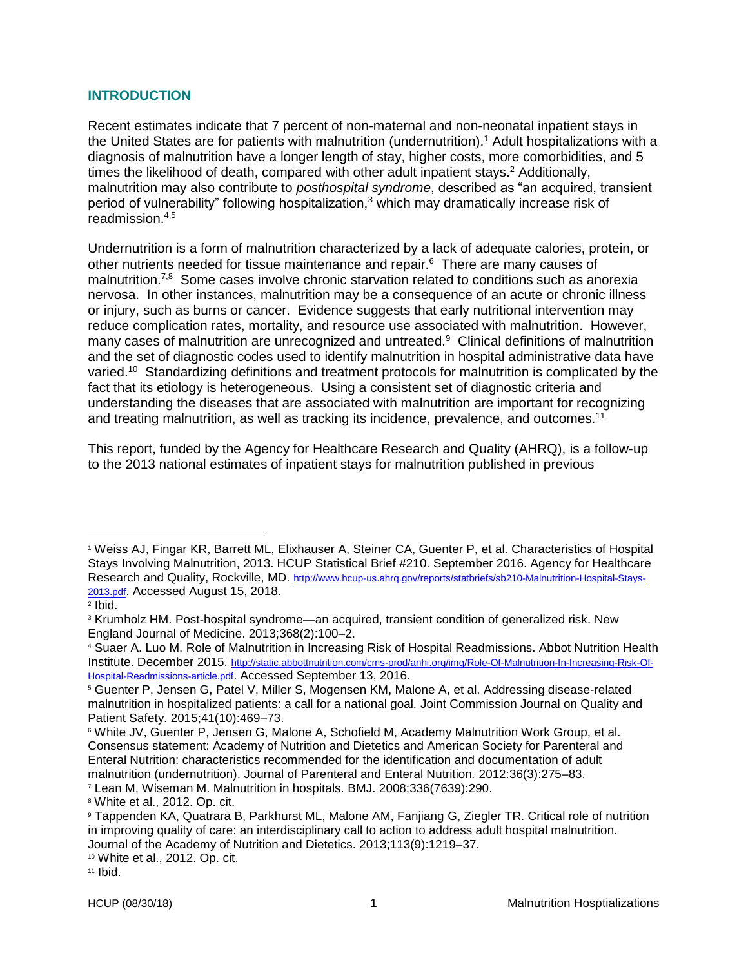# <span id="page-2-0"></span>**INTRODUCTION**

Recent estimates indicate that 7 percent of non-maternal and non-neonatal inpatient stays in the United States are for patients with malnutrition (undernutrition). <sup>1</sup> Adult hospitalizations with a diagnosis of malnutrition have a longer length of stay, higher costs, more comorbidities, and 5 times the likelihood of death, compared with other adult inpatient stays. $2$  Additionally, malnutrition may also contribute to *posthospital syndrome*, described as "an acquired, transient period of vulnerability" following hospitalization, $3$  which may dramatically increase risk of readmission.4,5

Undernutrition is a form of malnutrition characterized by a lack of adequate calories, protein, or other nutrients needed for tissue maintenance and repair.<sup>6</sup> There are many causes of malnutrition.<sup>7,8</sup> Some cases involve chronic starvation related to conditions such as anorexia nervosa. In other instances, malnutrition may be a consequence of an acute or chronic illness or injury, such as burns or cancer. Evidence suggests that early nutritional intervention may reduce complication rates, mortality, and resource use associated with malnutrition. However, many cases of malnutrition are unrecognized and untreated.<sup>9</sup> Clinical definitions of malnutrition and the set of diagnostic codes used to identify malnutrition in hospital administrative data have varied.<sup>10</sup> Standardizing definitions and treatment protocols for malnutrition is complicated by the fact that its etiology is heterogeneous. Using a consistent set of diagnostic criteria and understanding the diseases that are associated with malnutrition are important for recognizing and treating malnutrition, as well as tracking its incidence, prevalence, and outcomes.<sup>11</sup>

This report, funded by the Agency for Healthcare Research and Quality (AHRQ), is a follow-up to the 2013 national estimates of inpatient stays for malnutrition published in previous

<sup>1</sup> Weiss AJ, Fingar KR, Barrett ML, Elixhauser A, Steiner CA, Guenter P, et al. Characteristics of Hospital Stays Involving Malnutrition, 2013. HCUP Statistical Brief #210. September 2016. Agency for Healthcare Research and Quality, Rockville, MD. [http://www.hcup-us.ahrq.gov/reports/statbriefs/sb210-Malnutrition-Hospital-Stays-](http://www.hcup-us.ahrq.gov/reports/statbriefs/sb210-Malnutrition-Hospital-Stays-2013.pdf)[2013.pdf](http://www.hcup-us.ahrq.gov/reports/statbriefs/sb210-Malnutrition-Hospital-Stays-2013.pdf). Accessed August 15, 2018.

<sup>2</sup> Ibid.

<sup>3</sup> Krumholz HM. Post-hospital syndrome—an acquired, transient condition of generalized risk. New England Journal of Medicine. 2013;368(2):100–2.

<sup>4</sup> Suaer A. Luo M. Role of Malnutrition in Increasing Risk of Hospital Readmissions. Abbot Nutrition Health Institute. December 2015. [http://static.abbottnutrition.com/cms-prod/anhi.org/img/Role-Of-Malnutrition-In-Increasing-Risk-Of-](http://static.abbottnutrition.com/cms-prod/anhi.org/img/Role-Of-Malnutrition-In-Increasing-Risk-Of-Hospital-Readmissions-article.pdf)[Hospital-Readmissions-article.pdf](http://static.abbottnutrition.com/cms-prod/anhi.org/img/Role-Of-Malnutrition-In-Increasing-Risk-Of-Hospital-Readmissions-article.pdf). Accessed September 13, 2016.

<sup>5</sup> Guenter P, Jensen G, Patel V, Miller S, Mogensen KM, Malone A, et al. Addressing disease-related malnutrition in hospitalized patients: a call for a national goal. Joint Commission Journal on Quality and Patient Safety. 2015;41(10):469–73.

<sup>6</sup> White JV, Guenter P, Jensen G, Malone A, Schofield M, Academy Malnutrition Work Group, et al. Consensus statement: Academy of Nutrition and Dietetics and American Society for Parenteral and Enteral Nutrition: characteristics recommended for the identification and documentation of adult malnutrition (undernutrition). Journal of Parenteral and Enteral Nutrition*.* 2012:36(3):275–83.

<sup>7</sup> Lean M, Wiseman M. Malnutrition in hospitals. BMJ. 2008;336(7639):290.

<sup>8</sup> White et al., 2012. Op. cit.

<sup>9</sup> Tappenden KA, Quatrara B, Parkhurst ML, Malone AM, Fanjiang G, Ziegler TR. Critical role of nutrition in improving quality of care: an interdisciplinary call to action to address adult hospital malnutrition. Journal of the Academy of Nutrition and Dietetics. 2013;113(9):1219–37.

<sup>10</sup> White et al., 2012. Op. cit.

<sup>11</sup> Ibid.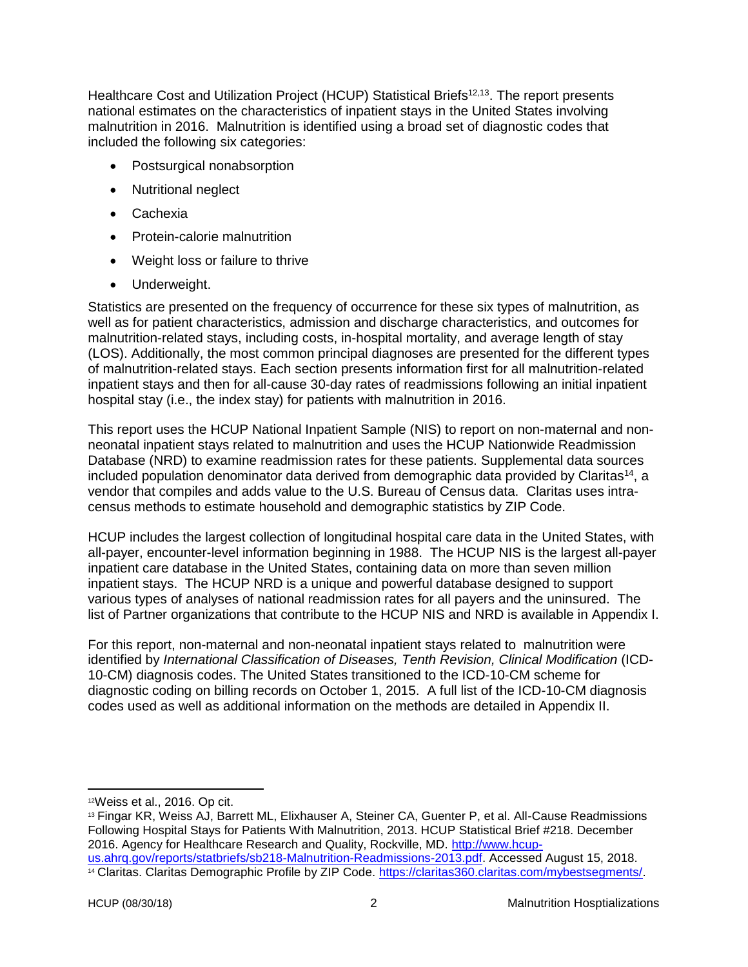Healthcare Cost and Utilization Project (HCUP) Statistical Briefs<sup>12,13</sup>. The report presents national estimates on the characteristics of inpatient stays in the United States involving malnutrition in 2016. Malnutrition is identified using a broad set of diagnostic codes that included the following six categories:

- Postsurgical nonabsorption
- Nutritional neglect
- Cachexia
- Protein-calorie malnutrition
- Weight loss or failure to thrive
- Underweight.

Statistics are presented on the frequency of occurrence for these six types of malnutrition, as well as for patient characteristics, admission and discharge characteristics, and outcomes for malnutrition-related stays, including costs, in-hospital mortality, and average length of stay (LOS). Additionally, the most common principal diagnoses are presented for the different types of malnutrition-related stays. Each section presents information first for all malnutrition-related inpatient stays and then for all-cause 30-day rates of readmissions following an initial inpatient hospital stay (i.e., the index stay) for patients with malnutrition in 2016.

This report uses the HCUP National Inpatient Sample (NIS) to report on non-maternal and nonneonatal inpatient stays related to malnutrition and uses the HCUP Nationwide Readmission Database (NRD) to examine readmission rates for these patients. Supplemental data sources included population denominator data derived from demographic data provided by Claritas<sup>14</sup>, a vendor that compiles and adds value to the U.S. Bureau of Census data. Claritas uses intracensus methods to estimate household and demographic statistics by ZIP Code.

HCUP includes the largest collection of longitudinal hospital care data in the United States, with all-payer, encounter-level information beginning in 1988. The HCUP NIS is the largest all-payer inpatient care database in the United States, containing data on more than seven million inpatient stays. The HCUP NRD is a unique and powerful database designed to support various types of analyses of national readmission rates for all payers and the uninsured. The list of Partner organizations that contribute to the HCUP NIS and NRD is available in Appendix I.

For this report, non-maternal and non-neonatal inpatient stays related to malnutrition were identified by *International Classification of Diseases, Tenth Revision, Clinical Modification* (ICD-10-CM) diagnosis codes. The United States transitioned to the ICD-10-CM scheme for diagnostic coding on billing records on October 1, 2015. A full list of the ICD-10-CM diagnosis codes used as well as additional information on the methods are detailed in Appendix II.

<sup>12</sup>Weiss et al., 2016. Op cit.

<sup>13</sup> Fingar KR, Weiss AJ, Barrett ML, Elixhauser A, Steiner CA, Guenter P, et al. All-Cause Readmissions Following Hospital Stays for Patients With Malnutrition, 2013. HCUP Statistical Brief #218. December 2016. Agency for Healthcare Research and Quality, Rockville, MD. [http://www.hcup](https://www.hcup-us.ahrq.gov/reports/statbriefs/sb218-Malnutrition-Readmissions-2013.pdf)[us.ahrq.gov/reports/statbriefs/sb218-Malnutrition-Readmissions-2013.pdf.](https://www.hcup-us.ahrq.gov/reports/statbriefs/sb218-Malnutrition-Readmissions-2013.pdf) Accessed August 15, 2018.

<sup>14</sup> Claritas. Claritas Demographic Profile by ZIP Code. [https://claritas360.claritas.com/mybestsegments/.](https://www.hcup-us.ahrq.gov/reports/statbriefs/sb242-Pediatric-ED-Visits-2015.jsp)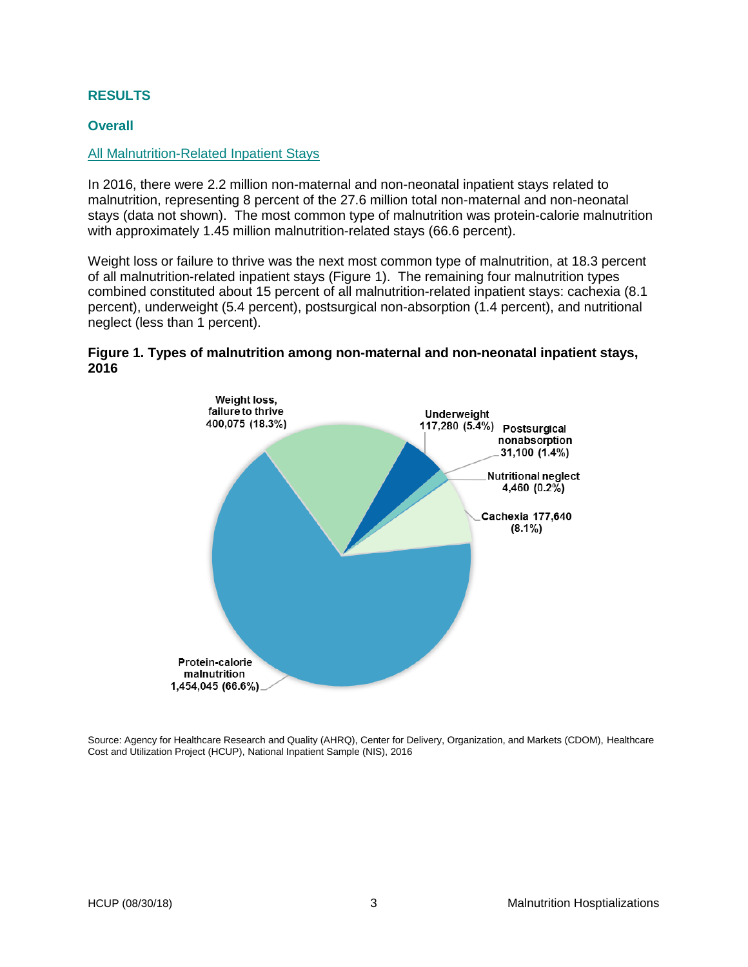#### <span id="page-4-0"></span>**RESULTS**

#### <span id="page-4-1"></span>**Overall**

#### <span id="page-4-2"></span>All Malnutrition-Related Inpatient Stays

In 2016, there were 2.2 million non-maternal and non-neonatal inpatient stays related to malnutrition, representing 8 percent of the 27.6 million total non-maternal and non-neonatal stays (data not shown). The most common type of malnutrition was protein-calorie malnutrition with approximately 1.45 million malnutrition-related stays (66.6 percent).

Weight loss or failure to thrive was the next most common type of malnutrition, at 18.3 percent of all malnutrition-related inpatient stays (Figure 1). The remaining four malnutrition types combined constituted about 15 percent of all malnutrition-related inpatient stays: cachexia (8.1 percent), underweight (5.4 percent), postsurgical non-absorption (1.4 percent), and nutritional neglect (less than 1 percent).

#### **Figure 1. Types of malnutrition among non-maternal and non-neonatal inpatient stays, 2016**

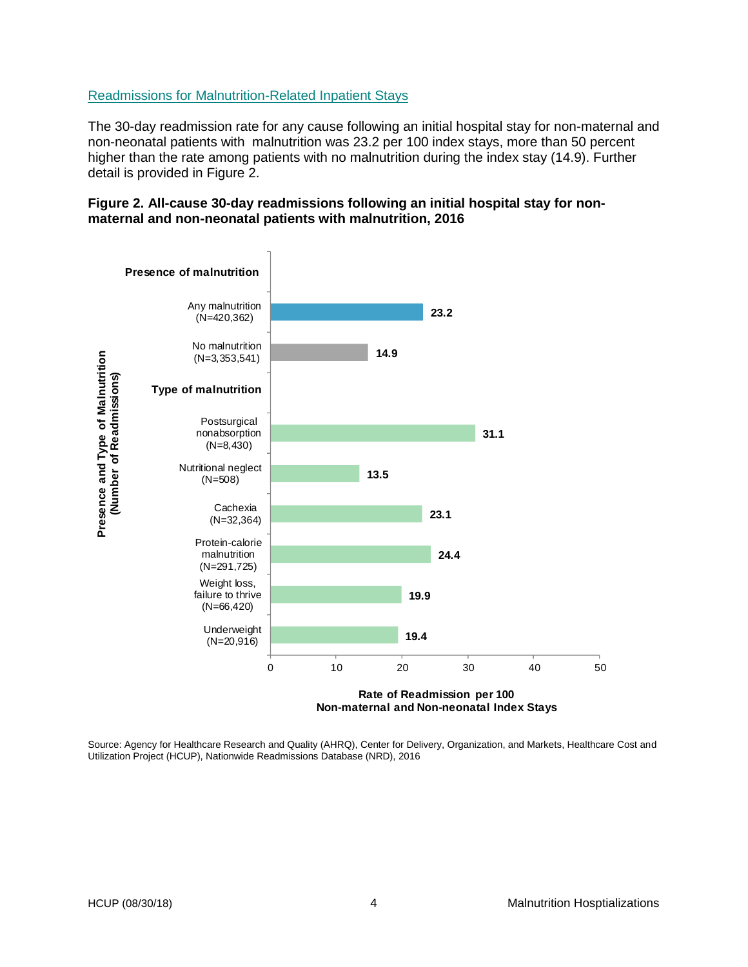#### <span id="page-5-0"></span>Readmissions for Malnutrition-Related Inpatient Stays

The 30-day readmission rate for any cause following an initial hospital stay for non-maternal and non-neonatal patients with malnutrition was 23.2 per 100 index stays, more than 50 percent higher than the rate among patients with no malnutrition during the index stay (14.9). Further detail is provided in Figure 2.

#### **Figure 2. All-cause 30-day readmissions following an initial hospital stay for nonmaternal and non-neonatal patients with malnutrition, 2016**



Source: Agency for Healthcare Research and Quality (AHRQ), Center for Delivery, Organization, and Markets, Healthcare Cost and Utilization Project (HCUP), Nationwide Readmissions Database (NRD), 2016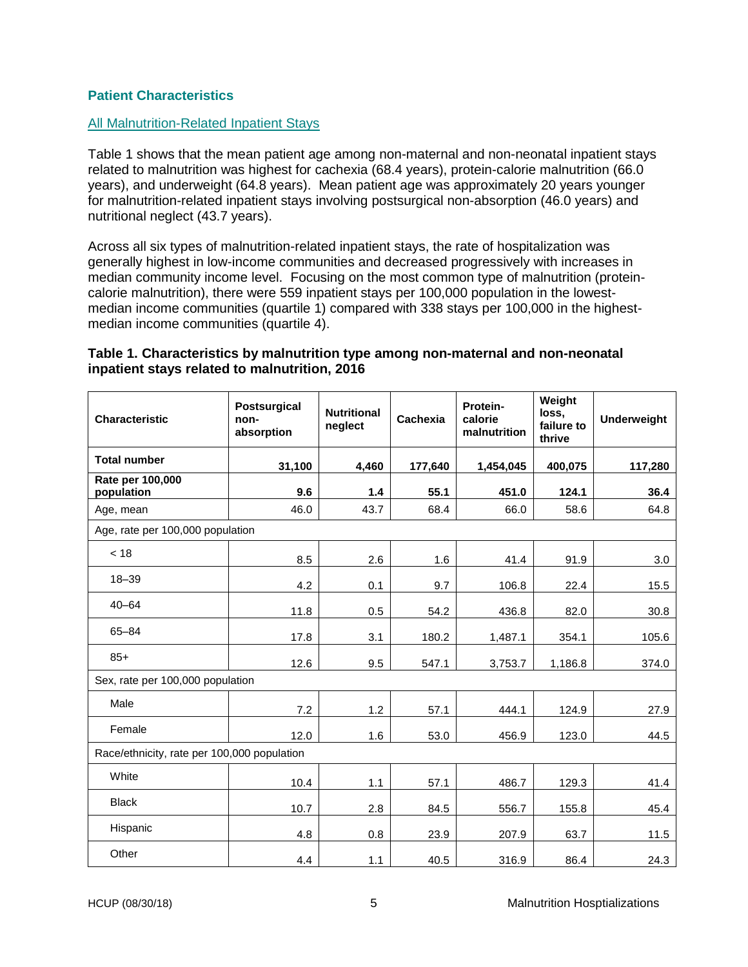#### <span id="page-6-0"></span>**Patient Characteristics**

#### <span id="page-6-1"></span>All Malnutrition-Related Inpatient Stays

Table 1 shows that the mean patient age among non-maternal and non-neonatal inpatient stays related to malnutrition was highest for cachexia (68.4 years), protein-calorie malnutrition (66.0 years), and underweight (64.8 years). Mean patient age was approximately 20 years younger for malnutrition-related inpatient stays involving postsurgical non-absorption (46.0 years) and nutritional neglect (43.7 years).

Across all six types of malnutrition-related inpatient stays, the rate of hospitalization was generally highest in low-income communities and decreased progressively with increases in median community income level. Focusing on the most common type of malnutrition (proteincalorie malnutrition), there were 559 inpatient stays per 100,000 population in the lowestmedian income communities (quartile 1) compared with 338 stays per 100,000 in the highestmedian income communities (quartile 4).

# **Table 1. Characteristics by malnutrition type among non-maternal and non-neonatal inpatient stays related to malnutrition, 2016**

| <b>Characteristic</b>                       | <b>Postsurgical</b><br>non-<br>absorption | <b>Nutritional</b><br>neglect | Cachexia | Protein-<br>calorie<br>malnutrition | Weight<br>loss.<br>failure to<br>thrive | <b>Underweight</b> |  |  |  |
|---------------------------------------------|-------------------------------------------|-------------------------------|----------|-------------------------------------|-----------------------------------------|--------------------|--|--|--|
| <b>Total number</b>                         | 31,100                                    | 4,460                         | 177,640  | 1,454,045                           | 400,075                                 | 117,280            |  |  |  |
| Rate per 100,000<br>population              | 9.6                                       | 1.4                           | 55.1     | 451.0                               | 124.1                                   | 36.4               |  |  |  |
| Age, mean                                   | 46.0                                      | 43.7                          | 68.4     | 66.0                                | 58.6                                    | 64.8               |  |  |  |
| Age, rate per 100,000 population            |                                           |                               |          |                                     |                                         |                    |  |  |  |
| < 18                                        | 8.5                                       | 2.6                           | 1.6      | 41.4                                | 91.9                                    | 3.0                |  |  |  |
| $18 - 39$                                   | 4.2                                       | 0.1                           | 9.7      | 106.8                               | 22.4                                    | 15.5               |  |  |  |
| $40 - 64$                                   | 11.8                                      | 0.5                           | 54.2     | 436.8                               | 82.0                                    | 30.8               |  |  |  |
| 65-84                                       | 17.8                                      | 3.1                           | 180.2    | 1,487.1                             | 354.1                                   | 105.6              |  |  |  |
| $85+$                                       | 12.6                                      | 9.5                           | 547.1    | 3,753.7                             | 1,186.8                                 | 374.0              |  |  |  |
| Sex, rate per 100,000 population            |                                           |                               |          |                                     |                                         |                    |  |  |  |
| Male                                        | 7.2                                       | 1.2                           | 57.1     | 444.1                               | 124.9                                   | 27.9               |  |  |  |
| Female                                      | 12.0                                      | 1.6                           | 53.0     | 456.9                               | 123.0                                   | 44.5               |  |  |  |
| Race/ethnicity, rate per 100,000 population |                                           |                               |          |                                     |                                         |                    |  |  |  |
| White                                       | 10.4                                      | 1.1                           | 57.1     | 486.7                               | 129.3                                   | 41.4               |  |  |  |
| <b>Black</b>                                | 10.7                                      | 2.8                           | 84.5     | 556.7                               | 155.8                                   | 45.4               |  |  |  |
| Hispanic                                    | 4.8                                       | 0.8                           | 23.9     | 207.9                               | 63.7                                    | 11.5               |  |  |  |
| Other                                       | 4.4                                       | 1.1                           | 40.5     | 316.9                               | 86.4                                    | 24.3               |  |  |  |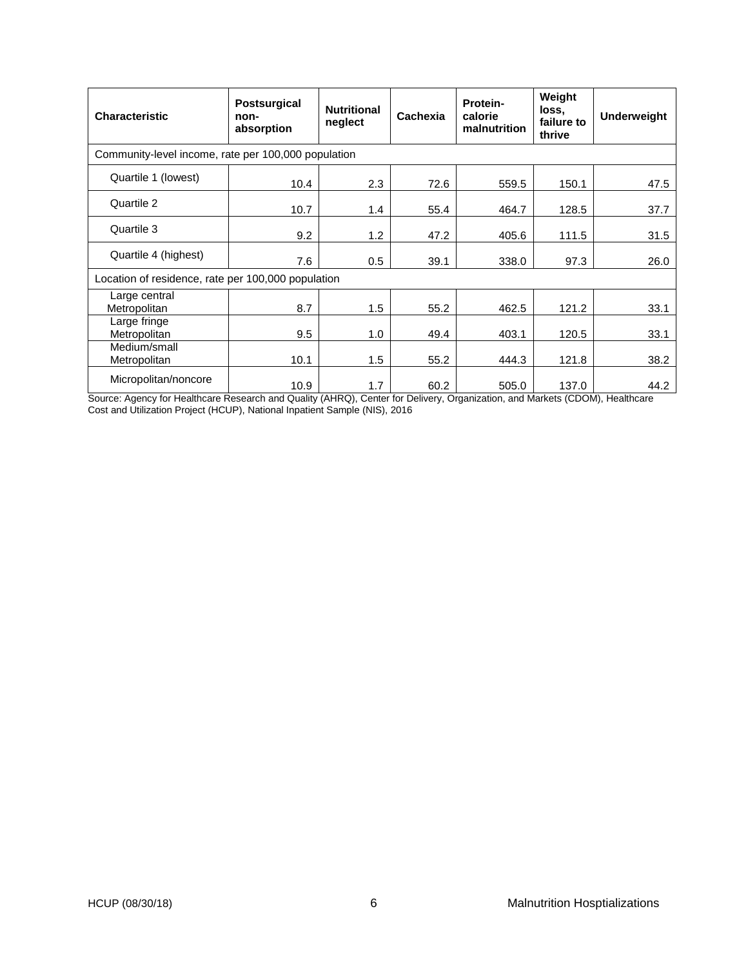| <b>Characteristic</b>                               | <b>Postsurgical</b><br>non-<br>absorption | <b>Nutritional</b><br>neglect | Cachexia | Protein-<br>calorie<br>malnutrition | Weight<br>loss.<br>failure to<br>thrive | <b>Underweight</b> |  |  |  |
|-----------------------------------------------------|-------------------------------------------|-------------------------------|----------|-------------------------------------|-----------------------------------------|--------------------|--|--|--|
| Community-level income, rate per 100,000 population |                                           |                               |          |                                     |                                         |                    |  |  |  |
| Quartile 1 (lowest)                                 | 10.4                                      | 2.3                           | 72.6     | 559.5                               | 150.1                                   | 47.5               |  |  |  |
| Quartile 2                                          | 10.7                                      | 1.4                           | 55.4     | 464.7                               | 128.5                                   | 37.7               |  |  |  |
| Quartile 3                                          | 9.2                                       | 1.2                           | 47.2     | 405.6                               | 111.5                                   | 31.5               |  |  |  |
| Quartile 4 (highest)                                | 7.6                                       | 0.5                           | 39.1     | 338.0                               | 97.3                                    | 26.0               |  |  |  |
| Location of residence, rate per 100,000 population  |                                           |                               |          |                                     |                                         |                    |  |  |  |
| Large central<br>Metropolitan                       | 8.7                                       | 1.5                           | 55.2     | 462.5                               | 121.2                                   | 33.1               |  |  |  |
| Large fringe<br>Metropolitan                        | 9.5                                       | 1.0                           | 49.4     | 403.1                               | 120.5                                   | 33.1               |  |  |  |
| Medium/small<br>Metropolitan                        | 10.1                                      | 1.5                           | 55.2     | 444.3                               | 121.8                                   | 38.2               |  |  |  |
| Micropolitan/noncore                                | 10.9                                      | 1.7                           | 60.2     | 505.0                               | 137.0                                   | 44.2               |  |  |  |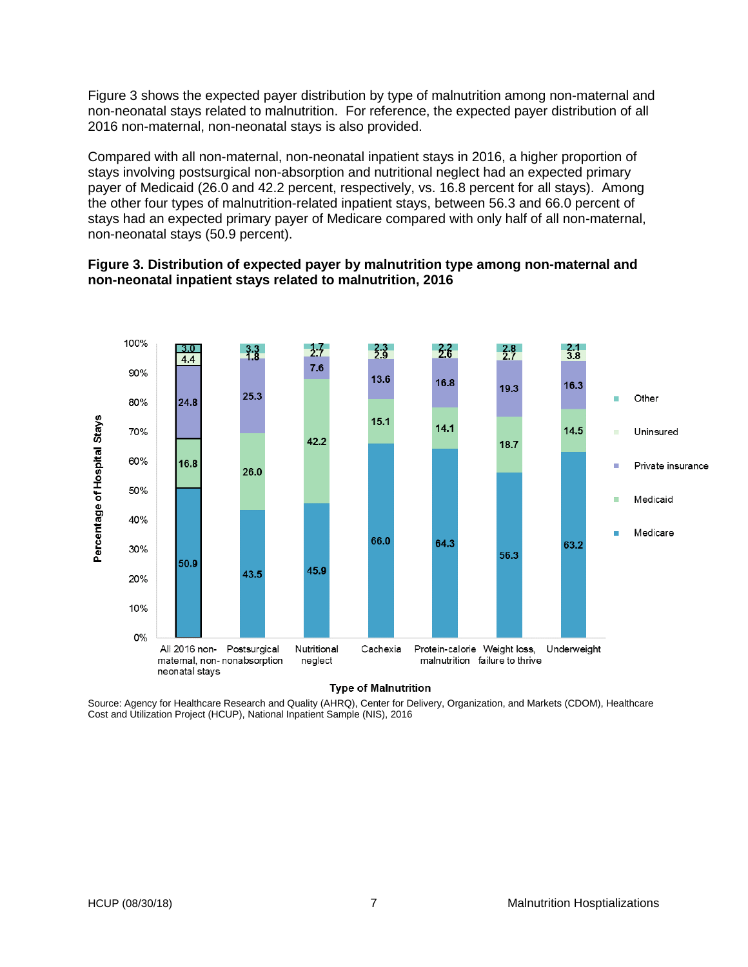Figure 3 shows the expected payer distribution by type of malnutrition among non-maternal and non-neonatal stays related to malnutrition. For reference, the expected payer distribution of all 2016 non-maternal, non-neonatal stays is also provided.

Compared with all non-maternal, non-neonatal inpatient stays in 2016, a higher proportion of stays involving postsurgical non-absorption and nutritional neglect had an expected primary payer of Medicaid (26.0 and 42.2 percent, respectively, vs. 16.8 percent for all stays). Among the other four types of malnutrition-related inpatient stays, between 56.3 and 66.0 percent of stays had an expected primary payer of Medicare compared with only half of all non-maternal, non-neonatal stays (50.9 percent).

#### **Figure 3. Distribution of expected payer by malnutrition type among non-maternal and non-neonatal inpatient stays related to malnutrition, 2016**



#### **Type of Malnutrition**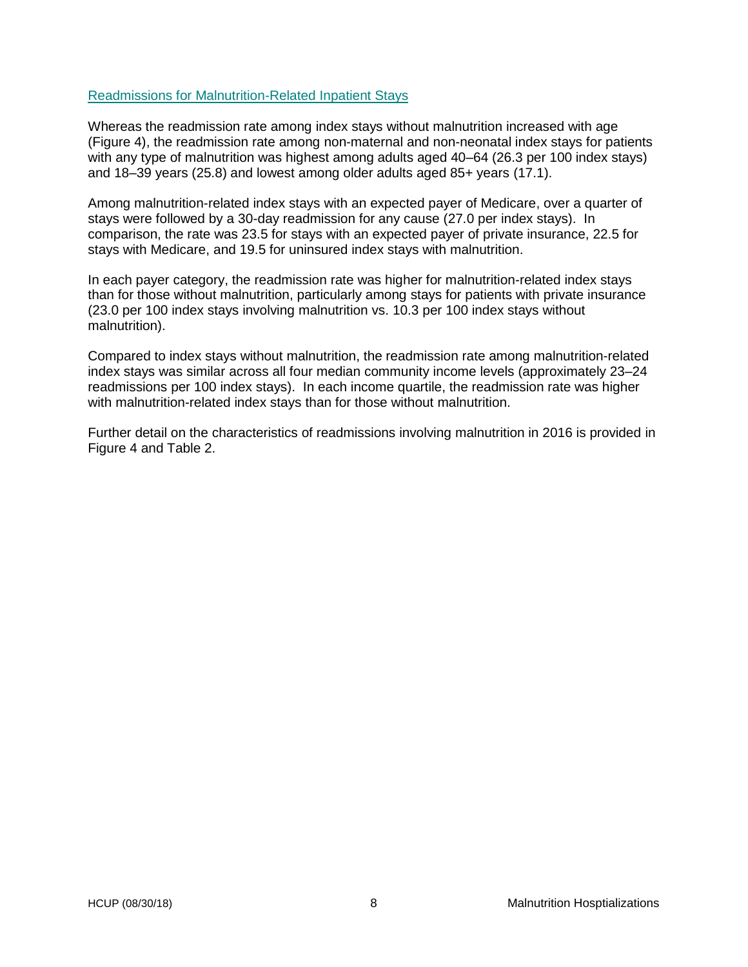#### <span id="page-9-0"></span>Readmissions for Malnutrition-Related Inpatient Stays

Whereas the readmission rate among index stays without malnutrition increased with age (Figure 4), the readmission rate among non-maternal and non-neonatal index stays for patients with any type of malnutrition was highest among adults aged 40–64 (26.3 per 100 index stays) and 18–39 years (25.8) and lowest among older adults aged 85+ years (17.1).

Among malnutrition-related index stays with an expected payer of Medicare, over a quarter of stays were followed by a 30-day readmission for any cause (27.0 per index stays). In comparison, the rate was 23.5 for stays with an expected payer of private insurance, 22.5 for stays with Medicare, and 19.5 for uninsured index stays with malnutrition.

In each payer category, the readmission rate was higher for malnutrition-related index stays than for those without malnutrition, particularly among stays for patients with private insurance (23.0 per 100 index stays involving malnutrition vs. 10.3 per 100 index stays without malnutrition).

Compared to index stays without malnutrition, the readmission rate among malnutrition-related index stays was similar across all four median community income levels (approximately 23–24 readmissions per 100 index stays). In each income quartile, the readmission rate was higher with malnutrition-related index stays than for those without malnutrition.

Further detail on the characteristics of readmissions involving malnutrition in 2016 is provided in Figure 4 and Table 2.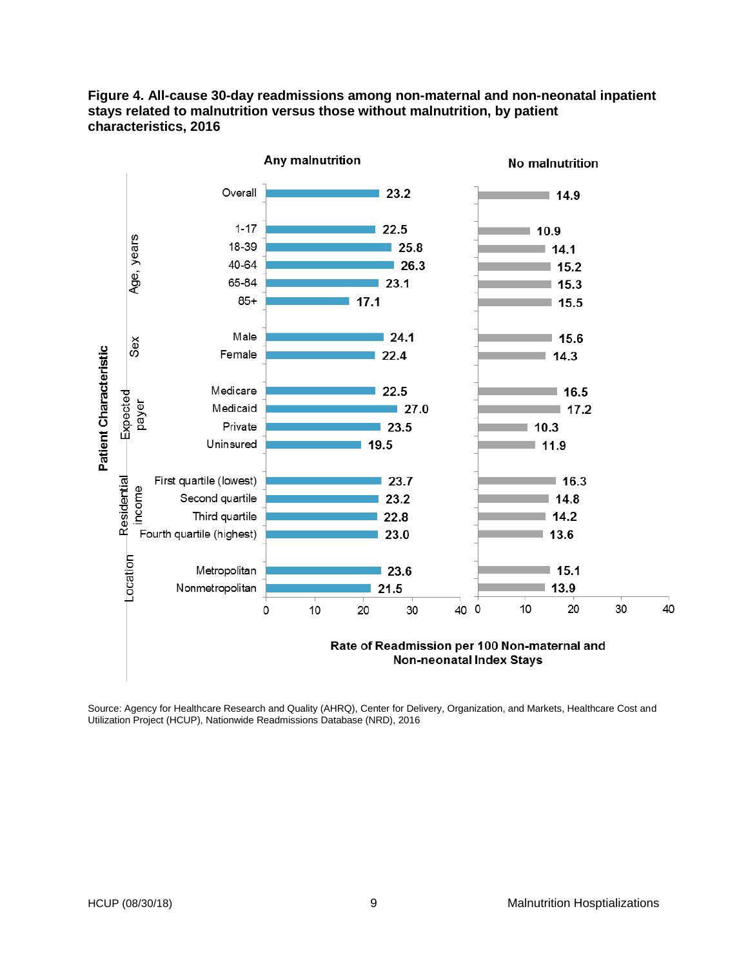

**Figure 4. All-cause 30-day readmissions among non-maternal and non-neonatal inpatient stays related to malnutrition versus those without malnutrition, by patient characteristics, 2016**

> Rate of Readmission per 100 Non-maternal and **Non-neonatal Index Stays**

Source: Agency for Healthcare Research and Quality (AHRQ), Center for Delivery, Organization, and Markets, Healthcare Cost and Utilization Project (HCUP), Nationwide Readmissions Database (NRD), 2016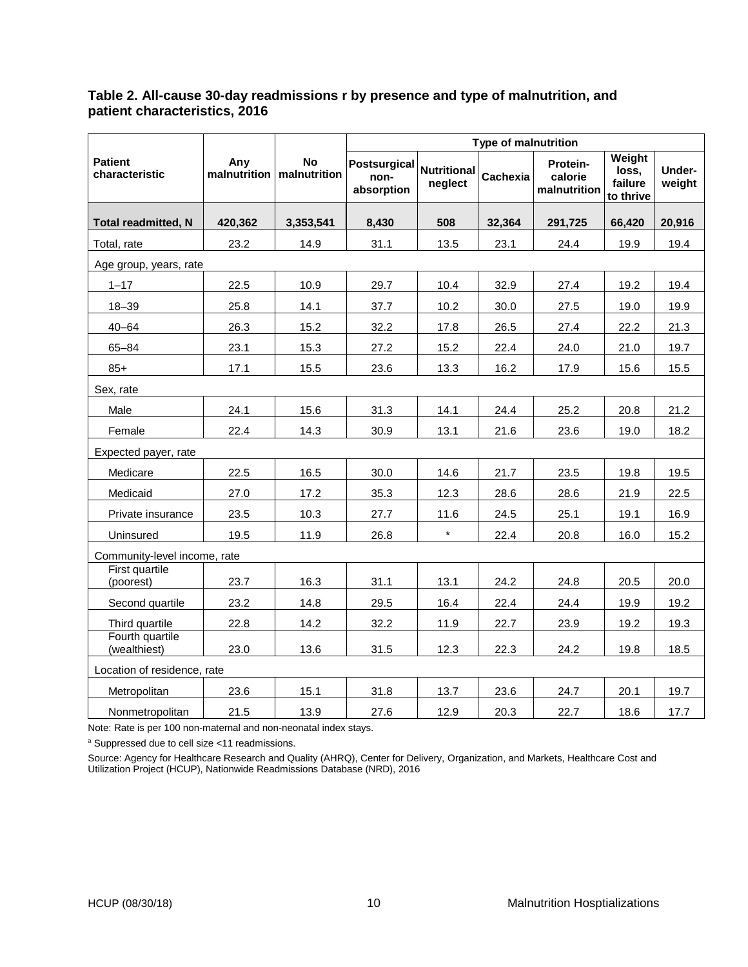# **Table 2. All-cause 30-day readmissions r by presence and type of malnutrition, and patient characteristics, 2016**

|                                  |                     |                           | <b>Type of malnutrition</b>               |                               |          |                                     |                                         |                  |  |  |  |  |  |  |  |
|----------------------------------|---------------------|---------------------------|-------------------------------------------|-------------------------------|----------|-------------------------------------|-----------------------------------------|------------------|--|--|--|--|--|--|--|
| <b>Patient</b><br>characteristic | Any<br>malnutrition | <b>No</b><br>malnutrition | <b>Postsurgical</b><br>non-<br>absorption | <b>Nutritional</b><br>neglect | Cachexia | Protein-<br>calorie<br>malnutrition | Weight<br>loss,<br>failure<br>to thrive | Under-<br>weight |  |  |  |  |  |  |  |
| <b>Total readmitted, N</b>       | 420,362             | 3,353,541                 | 8,430                                     | 508                           | 32,364   | 291,725                             | 66,420                                  | 20,916           |  |  |  |  |  |  |  |
| Total, rate                      | 23.2                | 14.9                      | 31.1                                      | 13.5                          | 23.1     | 24.4                                | 19.9                                    | 19.4             |  |  |  |  |  |  |  |
| Age group, years, rate           |                     |                           |                                           |                               |          |                                     |                                         |                  |  |  |  |  |  |  |  |
| $1 - 17$                         | 22.5                | 10.9                      | 29.7                                      | 10.4                          | 32.9     | 27.4                                | 19.2                                    | 19.4             |  |  |  |  |  |  |  |
| $18 - 39$                        | 25.8                | 14.1                      | 37.7                                      | 10.2                          | 30.0     | 27.5                                | 19.0                                    | 19.9             |  |  |  |  |  |  |  |
| $40 - 64$                        | 26.3                | 15.2                      | 32.2                                      | 17.8                          | 26.5     | 27.4                                | 22.2                                    | 21.3             |  |  |  |  |  |  |  |
| $65 - 84$                        | 23.1                | 15.3                      | 27.2                                      | 15.2                          | 22.4     | 24.0                                | 21.0                                    | 19.7             |  |  |  |  |  |  |  |
| $85+$                            | 17.1                | 15.5                      | 23.6                                      | 13.3                          | 16.2     | 17.9                                | 15.6                                    | 15.5             |  |  |  |  |  |  |  |
| Sex, rate                        |                     |                           |                                           |                               |          |                                     |                                         |                  |  |  |  |  |  |  |  |
| Male                             | 24.1                | 15.6                      | 31.3                                      | 14.1                          | 24.4     | 25.2                                | 20.8                                    | 21.2             |  |  |  |  |  |  |  |
| Female                           | 22.4                | 14.3                      | 30.9                                      | 13.1                          | 21.6     | 23.6                                | 19.0                                    | 18.2             |  |  |  |  |  |  |  |
| Expected payer, rate             |                     |                           |                                           |                               |          |                                     |                                         |                  |  |  |  |  |  |  |  |
| Medicare                         | 22.5                | 16.5                      | 30.0                                      | 14.6                          | 21.7     | 23.5                                | 19.8                                    | 19.5             |  |  |  |  |  |  |  |
| Medicaid                         | 27.0                | 17.2                      | 35.3                                      | 12.3                          | 28.6     | 28.6                                | 21.9                                    | 22.5             |  |  |  |  |  |  |  |
| Private insurance                | 23.5                | 10.3                      | 27.7                                      | 11.6                          | 24.5     | 25.1                                | 19.1                                    | 16.9             |  |  |  |  |  |  |  |
| Uninsured                        | 19.5                | 11.9                      | 26.8                                      | $\star$                       | 22.4     | 20.8                                | 16.0                                    | 15.2             |  |  |  |  |  |  |  |
| Community-level income, rate     |                     |                           |                                           |                               |          |                                     |                                         |                  |  |  |  |  |  |  |  |
| First quartile<br>(poorest)      | 23.7                | 16.3                      | 31.1                                      | 13.1                          | 24.2     | 24.8                                | 20.5                                    | 20.0             |  |  |  |  |  |  |  |
| Second quartile                  | 23.2                | 14.8                      | 29.5                                      | 16.4                          | 22.4     | 24.4                                | 19.9                                    | 19.2             |  |  |  |  |  |  |  |
| Third quartile                   | 22.8                | 14.2                      | 32.2                                      | 11.9                          | 22.7     | 23.9                                | 19.2                                    | 19.3             |  |  |  |  |  |  |  |
| Fourth quartile<br>(wealthiest)  | 23.0                | 13.6                      | 31.5                                      | 12.3                          | 22.3     | 24.2                                | 19.8                                    | 18.5             |  |  |  |  |  |  |  |
| Location of residence, rate      |                     |                           |                                           |                               |          |                                     |                                         |                  |  |  |  |  |  |  |  |
| Metropolitan                     | 23.6                | 15.1                      | 31.8                                      | 13.7                          | 23.6     | 24.7                                | 20.1                                    | 19.7             |  |  |  |  |  |  |  |
| Nonmetropolitan                  | 21.5                | 13.9                      | 27.6                                      | 12.9                          | 20.3     | 22.7                                | 18.6                                    | 17.7             |  |  |  |  |  |  |  |

Note: Rate is per 100 non-maternal and non-neonatal index stays.

<sup>a</sup> Suppressed due to cell size <11 readmissions.

Source: Agency for Healthcare Research and Quality (AHRQ), Center for Delivery, Organization, and Markets, Healthcare Cost and Utilization Project (HCUP), Nationwide Readmissions Database (NRD), 2016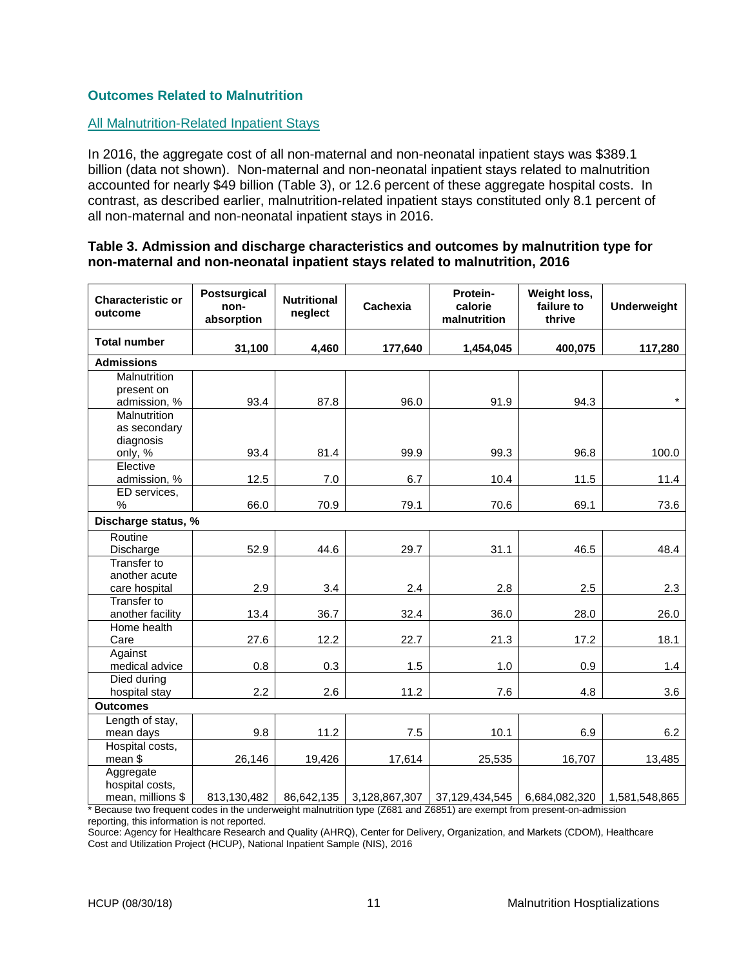# <span id="page-12-0"></span>**Outcomes Related to Malnutrition**

#### <span id="page-12-1"></span>All Malnutrition-Related Inpatient Stays

In 2016, the aggregate cost of all non-maternal and non-neonatal inpatient stays was \$389.1 billion (data not shown). Non-maternal and non-neonatal inpatient stays related to malnutrition accounted for nearly \$49 billion (Table 3), or 12.6 percent of these aggregate hospital costs. In contrast, as described earlier, malnutrition-related inpatient stays constituted only 8.1 percent of all non-maternal and non-neonatal inpatient stays in 2016.

#### **Table 3. Admission and discharge characteristics and outcomes by malnutrition type for non-maternal and non-neonatal inpatient stays related to malnutrition, 2016**

| <b>Characteristic or</b><br>outcome | <b>Postsurgical</b><br>non-<br>absorption | <b>Nutritional</b><br>neglect | Cachexia      | Protein-<br>calorie<br>malnutrition | Weight loss,<br>failure to<br>thrive | <b>Underweight</b> |
|-------------------------------------|-------------------------------------------|-------------------------------|---------------|-------------------------------------|--------------------------------------|--------------------|
| <b>Total number</b>                 | 31,100                                    | 4,460                         | 177,640       | 1,454,045                           | 400,075                              | 117,280            |
| <b>Admissions</b>                   |                                           |                               |               |                                     |                                      |                    |
| Malnutrition                        |                                           |                               |               |                                     |                                      |                    |
| present on                          |                                           |                               |               |                                     |                                      |                    |
| admission, %                        | 93.4                                      | 87.8                          | 96.0          | 91.9                                | 94.3                                 | $\star$            |
| Malnutrition                        |                                           |                               |               |                                     |                                      |                    |
| as secondary                        |                                           |                               |               |                                     |                                      |                    |
| diagnosis                           |                                           |                               |               |                                     |                                      |                    |
| only, %                             | 93.4                                      | 81.4                          | 99.9          | 99.3                                | 96.8                                 | 100.0              |
| Elective                            |                                           |                               |               |                                     |                                      |                    |
| admission, %                        | 12.5                                      | 7.0                           | 6.7           | 10.4                                | 11.5                                 | 11.4               |
| ED services,                        |                                           |                               |               |                                     |                                      |                    |
| %                                   | 66.0                                      | 70.9                          | 79.1          | 70.6                                | 69.1                                 | 73.6               |
| Discharge status, %                 |                                           |                               |               |                                     |                                      |                    |
| Routine                             |                                           |                               |               |                                     |                                      |                    |
| Discharge                           | 52.9                                      | 44.6                          | 29.7          | 31.1                                | 46.5                                 | 48.4               |
| Transfer to                         |                                           |                               |               |                                     |                                      |                    |
| another acute                       |                                           |                               |               |                                     |                                      |                    |
| care hospital                       | 2.9                                       | 3.4                           | 2.4           | 2.8                                 | 2.5                                  | 2.3                |
| Transfer to                         |                                           |                               |               |                                     |                                      |                    |
| another facility                    | 13.4                                      | 36.7                          | 32.4          | 36.0                                | 28.0                                 | 26.0               |
| Home health                         |                                           |                               |               |                                     |                                      |                    |
| Care                                | 27.6                                      | 12.2                          | 22.7          | 21.3                                | 17.2                                 | 18.1               |
| Against                             |                                           |                               |               |                                     |                                      |                    |
| medical advice                      | 0.8                                       | 0.3                           | 1.5           | 1.0                                 | 0.9                                  | 1.4                |
| Died during                         |                                           |                               |               |                                     |                                      |                    |
| hospital stay                       | 2.2                                       | 2.6                           | 11.2          | 7.6                                 | 4.8                                  | 3.6                |
| <b>Outcomes</b>                     |                                           |                               |               |                                     |                                      |                    |
| Length of stay,                     |                                           |                               |               |                                     |                                      |                    |
| mean days                           | 9.8                                       | 11.2                          | 7.5           | 10.1                                | 6.9                                  | 6.2                |
| Hospital costs,                     |                                           |                               |               |                                     |                                      |                    |
| mean \$                             | 26,146                                    | 19,426                        | 17,614        | 25,535                              | 16,707                               | 13,485             |
| Aggregate                           |                                           |                               |               |                                     |                                      |                    |
| hospital costs,                     |                                           |                               |               |                                     |                                      |                    |
| mean, millions \$                   | 813,130,482                               | 86,642,135                    | 3,128,867,307 | 37,129,434,545                      | 6,684,082,320                        | 1,581,548,865      |

\* Because two frequent codes in the underweight malnutrition type (Z681 and Z6851) are exempt from present-on-admission reporting, this information is not reported.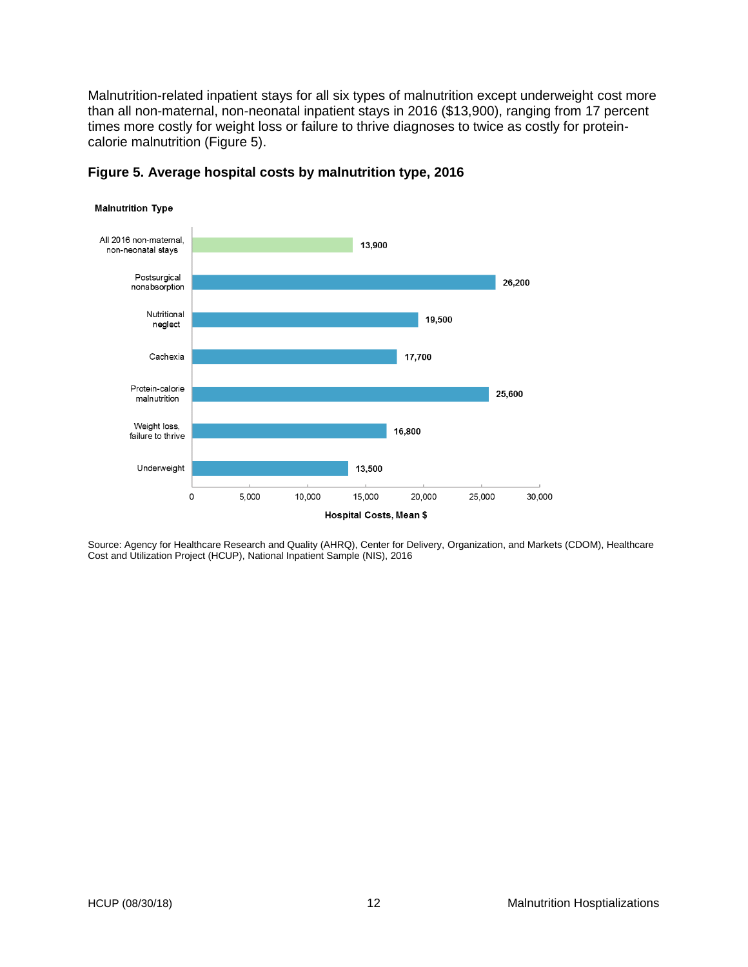Malnutrition-related inpatient stays for all six types of malnutrition except underweight cost more than all non-maternal, non-neonatal inpatient stays in 2016 (\$13,900), ranging from 17 percent times more costly for weight loss or failure to thrive diagnoses to twice as costly for proteincalorie malnutrition (Figure 5).



**Figure 5. Average hospital costs by malnutrition type, 2016**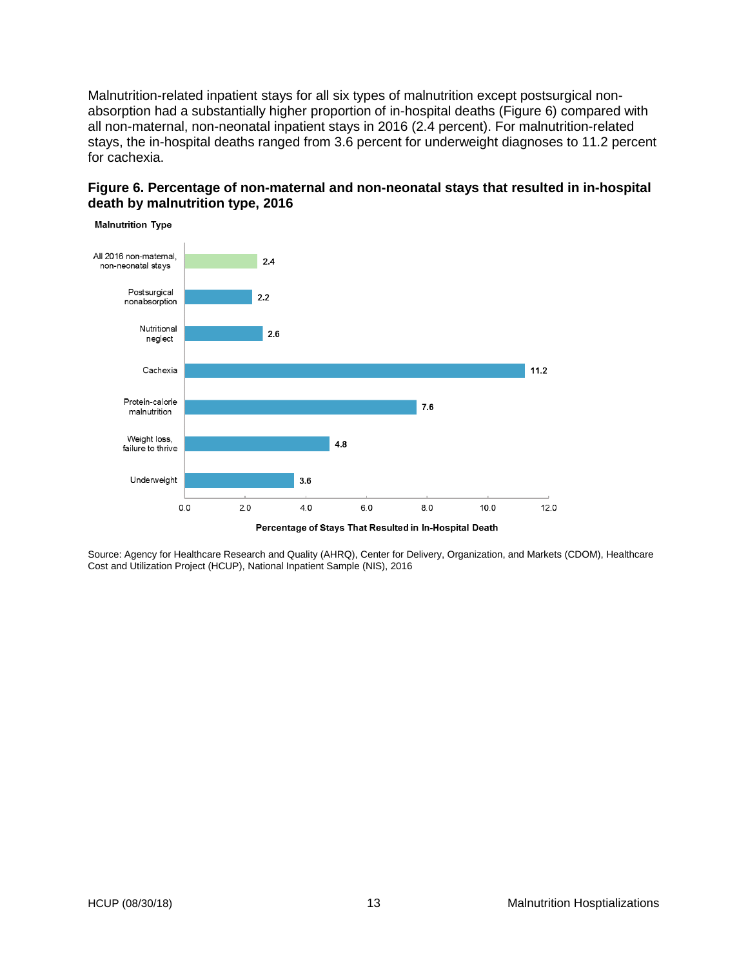Malnutrition-related inpatient stays for all six types of malnutrition except postsurgical nonabsorption had a substantially higher proportion of in-hospital deaths (Figure 6) compared with all non-maternal, non-neonatal inpatient stays in 2016 (2.4 percent). For malnutrition-related stays, the in-hospital deaths ranged from 3.6 percent for underweight diagnoses to 11.2 percent for cachexia.

#### **Figure 6. Percentage of non-maternal and non-neonatal stays that resulted in in-hospital death by malnutrition type, 2016**

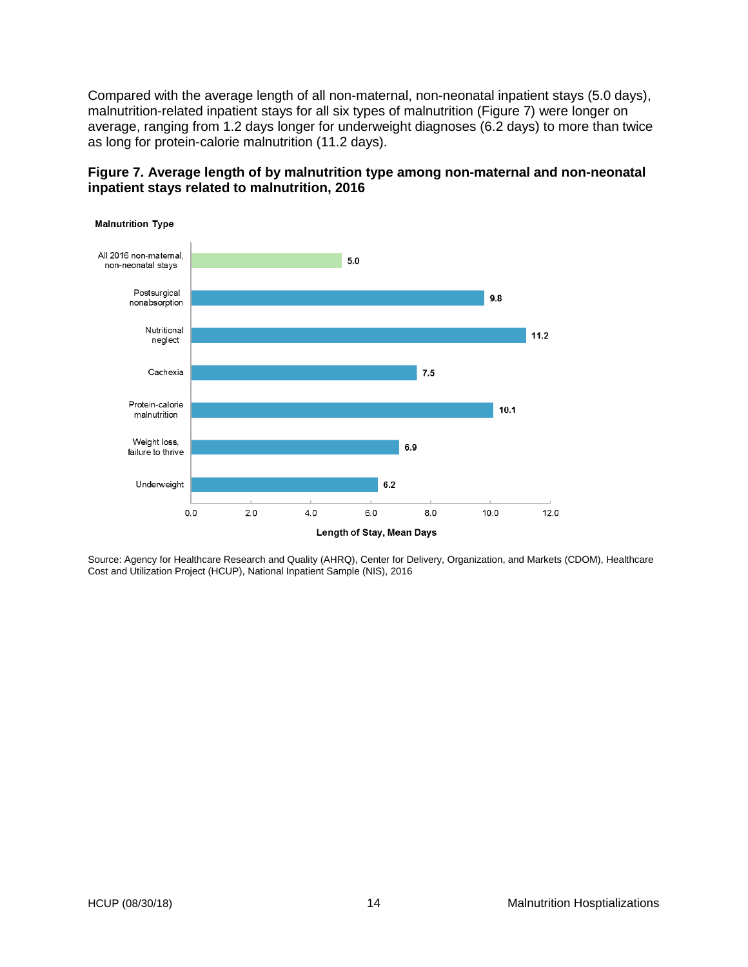Compared with the average length of all non-maternal, non-neonatal inpatient stays (5.0 days), malnutrition-related inpatient stays for all six types of malnutrition (Figure 7) were longer on average, ranging from 1.2 days longer for underweight diagnoses (6.2 days) to more than twice as long for protein-calorie malnutrition (11.2 days).



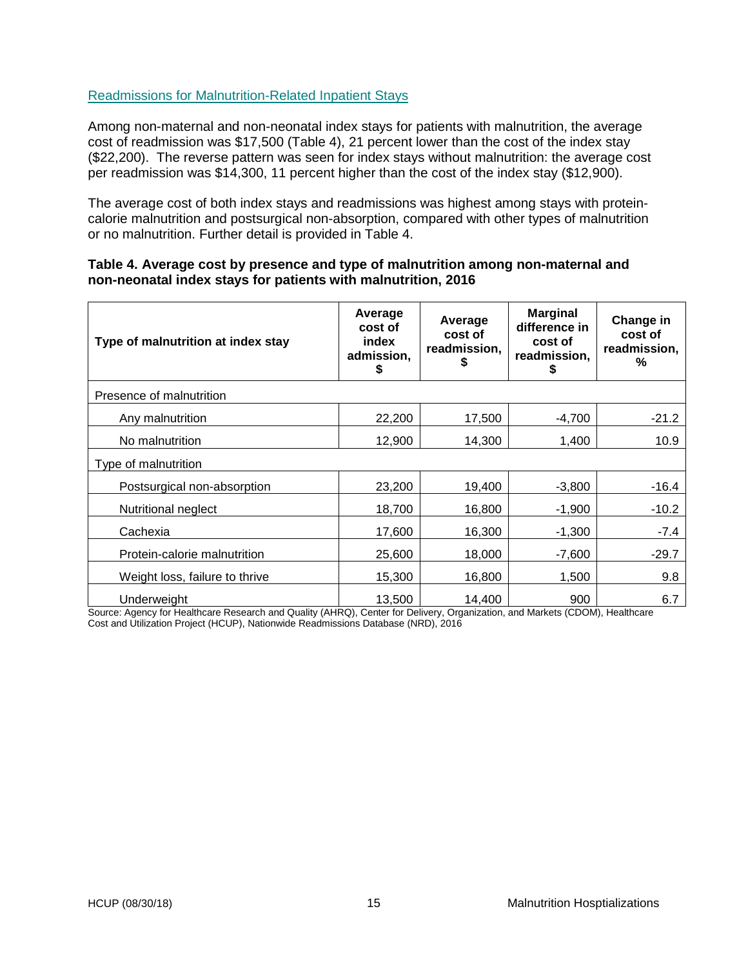### <span id="page-16-0"></span>Readmissions for Malnutrition-Related Inpatient Stays

Among non-maternal and non-neonatal index stays for patients with malnutrition, the average cost of readmission was \$17,500 (Table 4), 21 percent lower than the cost of the index stay (\$22,200). The reverse pattern was seen for index stays without malnutrition: the average cost per readmission was \$14,300, 11 percent higher than the cost of the index stay (\$12,900).

The average cost of both index stays and readmissions was highest among stays with proteincalorie malnutrition and postsurgical non-absorption, compared with other types of malnutrition or no malnutrition. Further detail is provided in Table 4.

#### **Table 4. Average cost by presence and type of malnutrition among non-maternal and non-neonatal index stays for patients with malnutrition, 2016**

| Type of malnutrition at index stay | Average<br>cost of<br>index<br>admission,<br>\$ | Average<br>cost of<br>readmission, | <b>Marginal</b><br>difference in<br>cost of<br>readmission,<br>\$ | Change in<br>cost of<br>readmission,<br>% |
|------------------------------------|-------------------------------------------------|------------------------------------|-------------------------------------------------------------------|-------------------------------------------|
| Presence of malnutrition           |                                                 |                                    |                                                                   |                                           |
| Any malnutrition                   | 22,200                                          | 17,500                             | $-4,700$                                                          | $-21.2$                                   |
| No malnutrition                    | 12,900                                          | 14,300                             | 1,400                                                             | 10.9                                      |
| Type of malnutrition               |                                                 |                                    |                                                                   |                                           |
| Postsurgical non-absorption        | 23,200                                          | 19,400                             | $-3,800$                                                          | $-16.4$                                   |
| Nutritional neglect                | 18,700                                          | 16,800                             | $-1,900$                                                          | $-10.2$                                   |
| Cachexia                           | 17,600                                          | 16,300                             | $-1,300$                                                          | $-7.4$                                    |
| Protein-calorie malnutrition       | 25,600                                          | 18,000                             | $-7,600$                                                          | $-29.7$                                   |
| Weight loss, failure to thrive     | 15,300                                          | 16,800                             | 1,500                                                             | 9.8                                       |
| Underweight                        | 13,500                                          | 14,400                             | 900                                                               | 6.7                                       |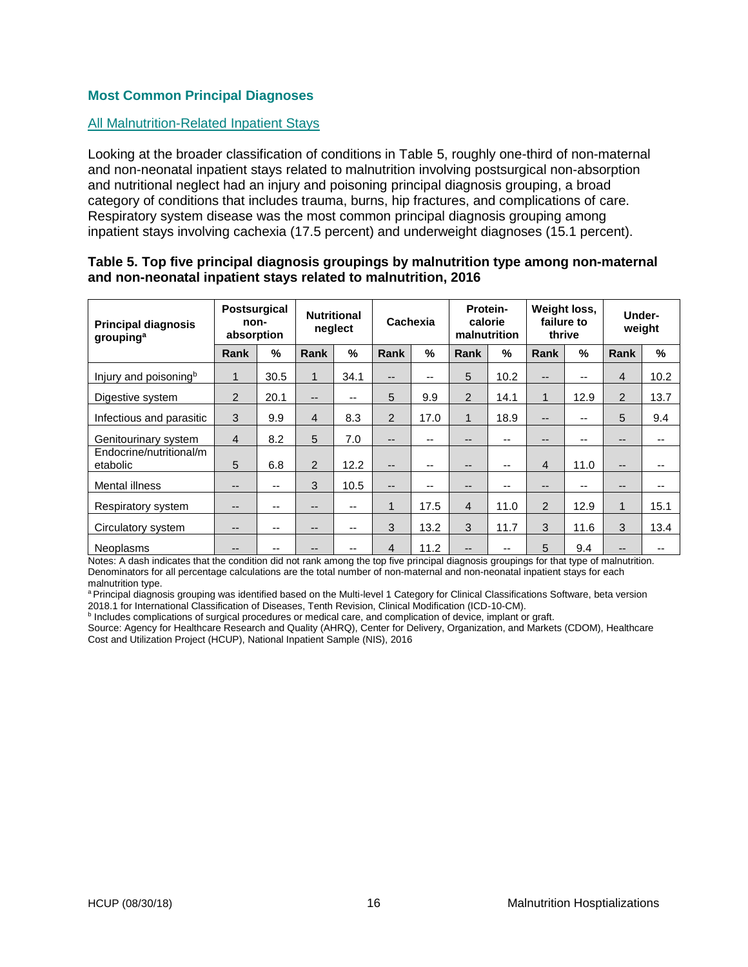# <span id="page-17-0"></span>**Most Common Principal Diagnoses**

#### <span id="page-17-1"></span>All Malnutrition-Related Inpatient Stays

Looking at the broader classification of conditions in Table 5, roughly one-third of non-maternal and non-neonatal inpatient stays related to malnutrition involving postsurgical non-absorption and nutritional neglect had an injury and poisoning principal diagnosis grouping, a broad category of conditions that includes trauma, burns, hip fractures, and complications of care. Respiratory system disease was the most common principal diagnosis grouping among inpatient stays involving cachexia (17.5 percent) and underweight diagnoses (15.1 percent).

#### **Table 5. Top five principal diagnosis groupings by malnutrition type among non-maternal and non-neonatal inpatient stays related to malnutrition, 2016**

| <b>Principal diagnosis</b><br>grouping <sup>a</sup> | <b>Postsurgical</b><br>non-<br>absorption |       | <b>Nutritional</b><br>neglect |       | Cachexia       |      | malnutrition   | Protein-<br>calorie | thrive                 | Weight loss,<br>failure to | Under-<br>weight       |      |
|-----------------------------------------------------|-------------------------------------------|-------|-------------------------------|-------|----------------|------|----------------|---------------------|------------------------|----------------------------|------------------------|------|
|                                                     | Rank                                      | $\%$  | Rank                          | $\%$  | Rank           | %    | Rank           | %                   | Rank                   | $\frac{0}{0}$              | Rank                   | %    |
| Injury and poisoning <sup>b</sup>                   | $\mathbf 1$                               | 30.5  | $\mathbf{1}$                  | 34.1  | $- -$          | --   | 5              | 10.2                | $- -$                  | --                         | $\overline{4}$         | 10.2 |
| Digestive system                                    | 2                                         | 20.1  | $- -$                         | $- -$ | 5              | 9.9  | $\overline{2}$ | 14.1                | $\mathbf{1}$           | 12.9                       | 2                      | 13.7 |
| Infectious and parasitic                            | 3                                         | 9.9   | $\overline{4}$                | 8.3   | $\overline{2}$ | 17.0 | $\mathbf{1}$   | 18.9                | $\qquad \qquad -$      | --                         | 5                      | 9.4  |
| Genitourinary system                                | $\overline{4}$                            | 8.2   | 5                             | 7.0   | --             | --   | --             | --                  | --                     | --                         | $- -$                  |      |
| Endocrine/nutritional/m<br>etabolic                 | 5                                         | 6.8   | 2                             | 12.2  | $- -$          | --   | --             | --                  | $\overline{4}$         | 11.0                       | $- -$                  |      |
| Mental illness                                      | $- -$                                     | $- -$ | 3                             | 10.5  | --             | --   | --             | --                  | $\qquad \qquad \cdots$ | --                         | $\qquad \qquad \cdots$ |      |
| Respiratory system                                  | --                                        | --    | --                            | $- -$ | 1              | 17.5 | $\overline{4}$ | 11.0                | 2                      | 12.9                       | $\mathbf 1$            | 15.1 |
| Circulatory system                                  | --                                        | $-$   | $- -$                         | $- -$ | 3              | 13.2 | 3              | 11.7                | 3                      | 11.6                       | 3                      | 13.4 |
| Neoplasms                                           | --                                        | --    | --                            | --    | 4              | 11.2 | --             | --                  | 5                      | 9.4                        | $- -$                  |      |

Notes: A dash indicates that the condition did not rank among the top five principal diagnosis groupings for that type of malnutrition. Denominators for all percentage calculations are the total number of non-maternal and non-neonatal inpatient stays for each malnutrition type.

a Principal diagnosis grouping was identified based on the Multi-level 1 Category for Clinical Classifications Software, beta version 2018.1 for International Classification of Diseases, Tenth Revision, Clinical Modification (ICD-10-CM).

**b** Includes complications of surgical procedures or medical care, and complication of device, implant or graft.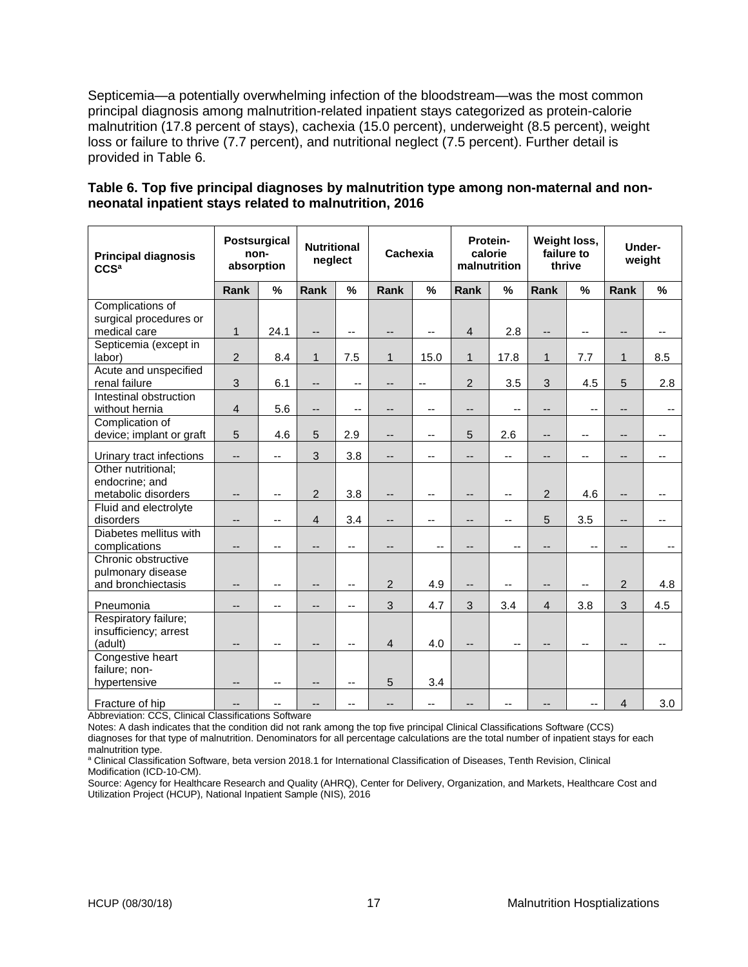Septicemia—a potentially overwhelming infection of the bloodstream—was the most common principal diagnosis among malnutrition-related inpatient stays categorized as protein-calorie malnutrition (17.8 percent of stays), cachexia (15.0 percent), underweight (8.5 percent), weight loss or failure to thrive (7.7 percent), and nutritional neglect (7.5 percent). Further detail is provided in Table 6.

| Table 6. Top five principal diagnoses by malnutrition type among non-maternal and non- |
|----------------------------------------------------------------------------------------|
| neonatal inpatient stays related to malnutrition, 2016                                 |

| <b>Principal diagnosis</b><br>CCS <sup>a</sup> | <b>Postsurgical</b><br>non-<br>absorption |                          | <b>Nutritional</b><br>neglect |                          | Cachexia                 |                          | Protein-       | calorie<br>malnutrition  | Weight loss,<br>failure to<br>thrive |                          | Under-<br>weight         |     |
|------------------------------------------------|-------------------------------------------|--------------------------|-------------------------------|--------------------------|--------------------------|--------------------------|----------------|--------------------------|--------------------------------------|--------------------------|--------------------------|-----|
|                                                | <b>Rank</b>                               | %                        | <b>Rank</b>                   | %                        | Rank                     | %                        | Rank           | $\frac{0}{0}$            | Rank                                 | %                        | Rank                     | %   |
| Complications of                               |                                           |                          |                               |                          |                          |                          |                |                          |                                      |                          |                          |     |
| surgical procedures or                         |                                           |                          |                               |                          |                          |                          |                |                          |                                      |                          |                          |     |
| medical care                                   | $\mathbf{1}$                              | 24.1                     | --                            | --                       | --                       | --                       | $\overline{4}$ | 2.8                      | --                                   | --                       | $\overline{\phantom{a}}$ | --  |
| Septicemia (except in                          |                                           |                          |                               |                          |                          |                          |                |                          |                                      |                          |                          |     |
| labor)                                         | $\overline{2}$                            | 8.4                      | $\mathbf{1}$                  | 7.5                      | $\mathbf{1}$             | 15.0                     | $\mathbf{1}$   | 17.8                     | 1                                    | 7.7                      | $\mathbf{1}$             | 8.5 |
| Acute and unspecified                          |                                           |                          |                               |                          |                          |                          |                |                          |                                      |                          |                          |     |
| renal failure                                  | 3                                         | 6.1                      | $\overline{\phantom{a}}$      | --                       | --                       | $\qquad \qquad -$        | 2              | 3.5                      | 3                                    | 4.5                      | 5                        | 2.8 |
| Intestinal obstruction                         |                                           |                          |                               |                          |                          |                          |                |                          |                                      |                          |                          |     |
| without hernia                                 | $\overline{4}$                            | 5.6                      | $\overline{\phantom{a}}$      | --                       | --                       | --                       | --             | --                       | --                                   | --                       | --                       | --  |
| Complication of                                |                                           |                          |                               |                          |                          |                          |                |                          |                                      |                          |                          |     |
| device; implant or graft                       | 5                                         | 4.6                      | 5                             | 2.9                      | --                       | --                       | 5              | 2.6                      | --                                   | --                       | --                       | --  |
| Urinary tract infections                       | $\overline{\phantom{a}}$                  | $\overline{\phantom{a}}$ | 3                             | 3.8                      | $\overline{\phantom{a}}$ | --                       | --             | $\overline{\phantom{a}}$ | --                                   | --                       | $\qquad \qquad -$        | --  |
| Other nutritional:                             |                                           |                          |                               |                          |                          |                          |                |                          |                                      |                          |                          |     |
| endocrine; and                                 |                                           |                          |                               |                          |                          |                          |                |                          |                                      |                          |                          |     |
| metabolic disorders                            | $\qquad \qquad \cdots$                    | $\qquad \qquad -$        | $\overline{c}$                | 3.8                      | --                       | $\overline{\phantom{a}}$ | $-$            | $\overline{\phantom{a}}$ | $\overline{c}$                       | 4.6                      | $\qquad \qquad -$        | --  |
| Fluid and electrolyte                          |                                           |                          |                               |                          |                          |                          |                |                          |                                      |                          |                          |     |
| disorders                                      | --                                        | $- -$                    | $\overline{4}$                | 3.4                      | $-$                      | $-$                      | --             | $-$                      | 5                                    | 3.5                      | $-$                      | --  |
| Diabetes mellitus with                         |                                           |                          |                               |                          |                          |                          |                |                          |                                      |                          |                          |     |
| complications                                  | --                                        | $\qquad \qquad -$        | --                            | --                       | --                       | --                       | --             | $-$                      | --                                   | $\overline{\phantom{a}}$ | $\qquad \qquad -$        | --  |
| Chronic obstructive                            |                                           |                          |                               |                          |                          |                          |                |                          |                                      |                          |                          |     |
| pulmonary disease<br>and bronchiectasis        |                                           |                          |                               |                          | $\overline{2}$           | 4.9                      |                |                          |                                      |                          | $\overline{2}$           | 4.8 |
|                                                | --                                        | $\qquad \qquad -$        | --                            | $\overline{\phantom{a}}$ |                          |                          | --             | $-$                      | $\overline{\phantom{a}}$             | --                       |                          |     |
| Pneumonia                                      | --                                        | $\qquad \qquad -$        | --                            | --                       | 3                        | 4.7                      | 3              | 3.4                      | $\overline{4}$                       | 3.8                      | 3                        | 4.5 |
| Respiratory failure;                           |                                           |                          |                               |                          |                          |                          |                |                          |                                      |                          |                          |     |
| insufficiency; arrest                          |                                           |                          |                               |                          |                          |                          |                |                          |                                      |                          |                          |     |
| (adult)                                        | --                                        | $-$                      | --                            | --                       | $\overline{4}$           | 4.0                      | --             | $-$                      | --                                   | --                       | $-$                      |     |
| Congestive heart                               |                                           |                          |                               |                          |                          |                          |                |                          |                                      |                          |                          |     |
| failure; non-                                  |                                           |                          |                               |                          |                          |                          |                |                          |                                      |                          |                          |     |
| hypertensive                                   | --                                        | --                       | --                            | --                       | 5                        | 3.4                      |                |                          |                                      |                          |                          |     |
| Fracture of hip                                | --                                        |                          | --                            |                          |                          | --                       |                |                          |                                      | $\overline{\phantom{a}}$ | $\overline{4}$           | 3.0 |

Abbreviation: CCS, Clinical Classifications Software

Notes: A dash indicates that the condition did not rank among the top five principal Clinical Classifications Software (CCS) diagnoses for that type of malnutrition. Denominators for all percentage calculations are the total number of inpatient stays for each malnutrition type.

<sup>a</sup> Clinical Classification Software, beta version 2018.1 for International Classification of Diseases, Tenth Revision, Clinical Modification (ICD-10-CM).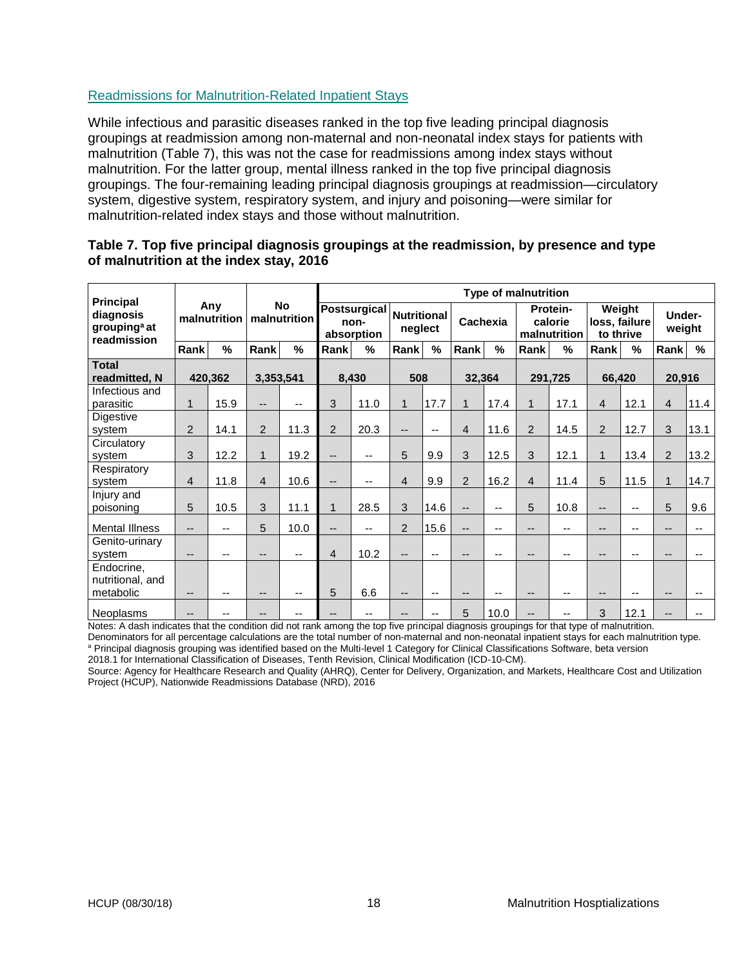# <span id="page-19-0"></span>Readmissions for Malnutrition-Related Inpatient Stays

While infectious and parasitic diseases ranked in the top five leading principal diagnosis groupings at readmission among non-maternal and non-neonatal index stays for patients with malnutrition (Table 7), this was not the case for readmissions among index stays without malnutrition. For the latter group, mental illness ranked in the top five principal diagnosis groupings. The four-remaining leading principal diagnosis groupings at readmission—circulatory system, digestive system, respiratory system, and injury and poisoning—were similar for malnutrition-related index stays and those without malnutrition.

| <b>Principal</b>                                                            |              |                           |                |                                           | <b>Type of malnutrition</b> |               |                               |                          |                          |               |                                     |         |                                      |      |                  |               |
|-----------------------------------------------------------------------------|--------------|---------------------------|----------------|-------------------------------------------|-----------------------------|---------------|-------------------------------|--------------------------|--------------------------|---------------|-------------------------------------|---------|--------------------------------------|------|------------------|---------------|
| Any<br>diagnosis<br>malnutrition<br>grouping <sup>a</sup> at<br>readmission |              | <b>No</b><br>malnutrition |                | <b>Postsurgical</b><br>non-<br>absorption |                             |               | <b>Nutritional</b><br>neglect |                          | Cachexia                 |               | Protein-<br>calorie<br>malnutrition |         | Weight<br>loss, failure<br>to thrive |      | Under-<br>weight |               |
|                                                                             | Rank         | %                         | Rank           | $\%$                                      | Rank                        | $\frac{0}{0}$ | Rank                          | %                        | Rank                     | $\frac{9}{6}$ | Rank                                | %       | Rank                                 | %    | Rank             | $\frac{9}{6}$ |
| <b>Total</b><br>readmitted, N                                               |              | 420.362                   | 3,353,541      |                                           |                             | 8,430         | 508                           |                          | 32,364                   |               |                                     | 291,725 | 66,420                               |      | 20,916           |               |
| Infectious and<br>parasitic                                                 | $\mathbf{1}$ | 15.9                      | $-$            |                                           | 3                           | 11.0          | 1                             | 17.7                     | $\mathbf 1$              | 17.4          | 1                                   | 17.1    | 4                                    | 12.1 | $\overline{4}$   | 11.4          |
| Digestive<br>system                                                         | 2            | 14.1                      | 2              | 11.3                                      | $\overline{2}$              | 20.3          | --                            | $\overline{\phantom{a}}$ | 4                        | 11.6          | $\overline{2}$                      | 14.5    | 2                                    | 12.7 | 3                | 13.1          |
| Circulatory<br>system                                                       | 3            | 12.2                      | $\mathbf{1}$   | 19.2                                      | --                          | --            | 5                             | 9.9                      | 3                        | 12.5          | 3                                   | 12.1    | $\mathbf{1}$                         | 13.4 | 2                | 13.2          |
| Respiratory<br>system                                                       | 4            | 11.8                      | $\overline{4}$ | 10.6                                      | $-$                         | $-$           | 4                             | 9.9                      | $\overline{2}$           | 16.2          | 4                                   | 11.4    | 5                                    | 11.5 | $\mathbf{1}$     | 14.7          |
| Injury and<br>poisoning                                                     | 5            | 10.5                      | 3              | 11.1                                      | $\mathbf{1}$                | 28.5          | 3                             | 14.6                     | --                       | --            | 5                                   | 10.8    | --                                   | --   | 5                | 9.6           |
| <b>Mental Illness</b>                                                       | $-$          | $\overline{\phantom{a}}$  | 5              | 10.0                                      | --                          | --            | $\overline{2}$                | 15.6                     | $\overline{\phantom{a}}$ | --            | --                                  | --      | --                                   | --   | --               |               |
| Genito-urinary<br>system                                                    | $-$          | $\overline{\phantom{a}}$  |                | --                                        | $\overline{4}$              | 10.2          | --                            | $\overline{\phantom{a}}$ | --                       | --            |                                     | --      | --                                   | --   | --               |               |
| Endocrine,<br>nutritional, and<br>metabolic                                 | --           | $\overline{\phantom{a}}$  | --             | --                                        | 5                           | 6.6           | --                            | $-$                      | $- -$                    |               | --                                  | --      | --                                   | --   | --               |               |
| Neoplasms                                                                   | $-$          | --                        |                |                                           |                             | --            | --                            | --                       | 5                        | 10.0          | --                                  |         | 3                                    | 12.1 | --               |               |

#### **Table 7. Top five principal diagnosis groupings at the readmission, by presence and type of malnutrition at the index stay, 2016**

Notes: A dash indicates that the condition did not rank among the top five principal diagnosis groupings for that type of malnutrition. Denominators for all percentage calculations are the total number of non-maternal and non-neonatal inpatient stays for each malnutrition type.

a Principal diagnosis grouping was identified based on the Multi-level 1 Category for Clinical Classifications Software, beta version 2018.1 for International Classification of Diseases, Tenth Revision, Clinical Modification (ICD-10-CM).

Source: Agency for Healthcare Research and Quality (AHRQ), Center for Delivery, Organization, and Markets, Healthcare Cost and Utilization Project (HCUP), Nationwide Readmissions Database (NRD), 2016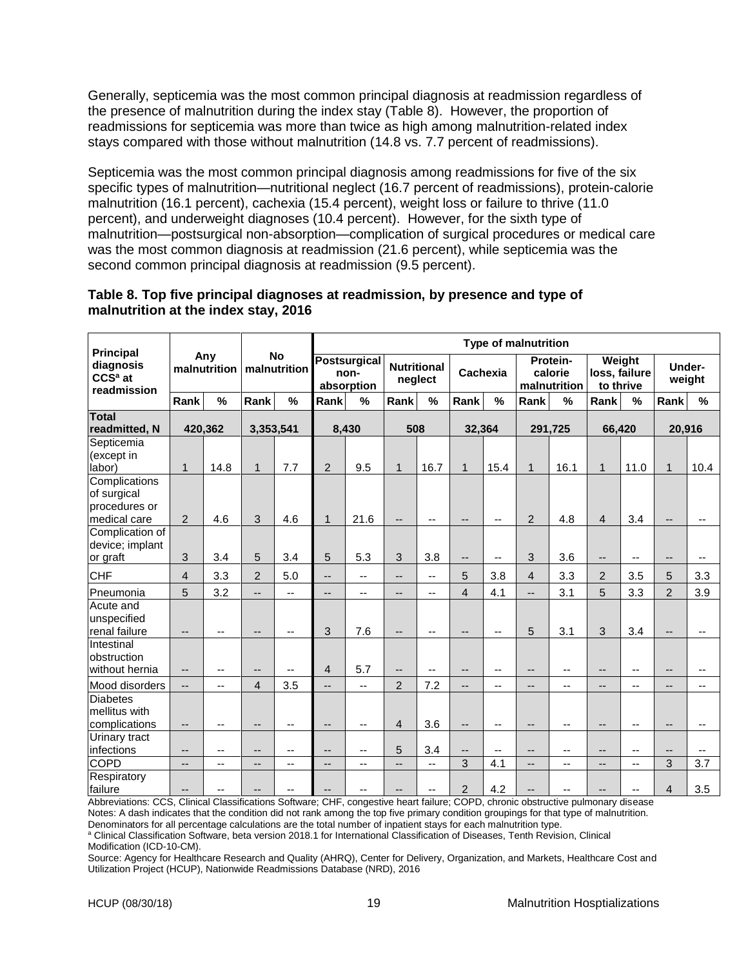Generally, septicemia was the most common principal diagnosis at readmission regardless of the presence of malnutrition during the index stay (Table 8). However, the proportion of readmissions for septicemia was more than twice as high among malnutrition-related index stays compared with those without malnutrition (14.8 vs. 7.7 percent of readmissions).

Septicemia was the most common principal diagnosis among readmissions for five of the six specific types of malnutrition—nutritional neglect (16.7 percent of readmissions), protein-calorie malnutrition (16.1 percent), cachexia (15.4 percent), weight loss or failure to thrive (11.0 percent), and underweight diagnoses (10.4 percent). However, for the sixth type of malnutrition—postsurgical non-absorption—complication of surgical procedures or medical care was the most common diagnosis at readmission (21.6 percent), while septicemia was the second common principal diagnosis at readmission (9.5 percent).

# **Table 8. Top five principal diagnoses at readmission, by presence and type of malnutrition at the index stay, 2016**

|                                                               |                          |                     |                          | <b>Type of malnutrition</b> |                          |                                           |                          |                               |                          |                          |                   |                                     |                                      |                          |                          |                          |
|---------------------------------------------------------------|--------------------------|---------------------|--------------------------|-----------------------------|--------------------------|-------------------------------------------|--------------------------|-------------------------------|--------------------------|--------------------------|-------------------|-------------------------------------|--------------------------------------|--------------------------|--------------------------|--------------------------|
| <b>Principal</b><br>diagnosis<br>$CCSa$ at<br>readmission     |                          | Any<br>malnutrition |                          | <b>No</b><br>malnutrition   |                          | <b>Postsurgical</b><br>non-<br>absorption |                          | <b>Nutritional</b><br>neglect |                          | Cachexia                 |                   | Protein-<br>calorie<br>malnutrition | Weight<br>loss, failure<br>to thrive |                          |                          | Under-<br>weight         |
|                                                               | Rank                     | $\frac{9}{6}$       | Rank                     | %                           | Rank                     | %                                         | Rank                     | %                             | Rank                     | %                        | Rank              | %                                   | Rank                                 | $\frac{0}{0}$            | Rank                     | %                        |
| <b>Total</b><br>readmitted, N                                 |                          | 420,362             | 3,353,541                |                             |                          | 8,430                                     | 508                      |                               | 32,364                   |                          |                   | 291,725                             | 66,420                               |                          | 20,916                   |                          |
| Septicemia<br>(except in<br>labor)                            | $\mathbf 1$              | 14.8                | $\mathbf{1}$             | 7.7                         | $\overline{c}$           | 9.5                                       | $\mathbf{1}$             | 16.7                          | $\mathbf{1}$             | 15.4                     | $\mathbf{1}$      | 16.1                                | $\mathbf{1}$                         | 11.0                     | $\mathbf{1}$             | 10.4                     |
| Complications<br>of surgical<br>procedures or<br>medical care | 2                        | 4.6                 | 3                        | 4.6                         | $\mathbf{1}$             | 21.6                                      | $\overline{\phantom{a}}$ | $\overline{\phantom{a}}$      | $\overline{\phantom{a}}$ | $\overline{\phantom{a}}$ | $\overline{2}$    | 4.8                                 | $\overline{4}$                       | 3.4                      | $\overline{\phantom{a}}$ | $\overline{\phantom{a}}$ |
| Complication of<br>device; implant<br>or graft                | 3                        | 3.4                 | 5                        | 3.4                         | 5                        | 5.3                                       | 3                        | 3.8                           | $-$                      | $\overline{a}$           | 3                 | 3.6                                 |                                      |                          |                          | --                       |
| <b>CHF</b>                                                    | $\overline{4}$           | 3.3                 | $\overline{2}$           | 5.0                         | $\overline{\phantom{a}}$ | $\overline{\phantom{a}}$                  | $\overline{a}$           | $\overline{\phantom{a}}$      | 5                        | 3.8                      | 4                 | 3.3                                 | $\overline{2}$                       | 3.5                      | 5                        | 3.3                      |
| Pneumonia                                                     | 5                        | 3.2                 | $\overline{\phantom{a}}$ | $\overline{\phantom{a}}$    | --                       | $\overline{\phantom{a}}$                  | --                       | $\overline{\phantom{a}}$      | $\overline{4}$           | 4.1                      | $-$               | 3.1                                 | 5                                    | 3.3                      | $\overline{2}$           | 3.9                      |
| Acute and<br>unspecified<br>renal failure                     | $\qquad \qquad -$        | --                  | $\overline{\phantom{a}}$ | $\qquad \qquad -$           | 3                        | 7.6                                       | $\overline{\phantom{a}}$ | $\overline{\phantom{a}}$      | --                       | $\overline{\phantom{a}}$ | 5                 | 3.1                                 | 3                                    | 3.4                      |                          | $\overline{\phantom{a}}$ |
| Intestinal<br>obstruction<br>without hernia                   | $-$                      | $-$                 | $\qquad \qquad -$        | $-$                         | $\sqrt{4}$               | 5.7                                       | $\overline{a}$           | $-$                           | $\overline{\phantom{a}}$ | $\overline{\phantom{a}}$ | --                | $\overline{\phantom{a}}$            |                                      |                          |                          |                          |
| Mood disorders                                                | $\overline{\phantom{a}}$ | $-$                 | $\overline{4}$           | 3.5                         | $\overline{\phantom{a}}$ | $\overline{\phantom{a}}$                  | $\overline{2}$           | 7.2                           | $-$                      | $\overline{\phantom{a}}$ | --                | --                                  | $-$                                  | $\overline{\phantom{a}}$ | $\overline{\phantom{a}}$ | --                       |
| <b>Diabetes</b><br>mellitus with<br>complications             | $\overline{\phantom{a}}$ | $-$                 | $\overline{\phantom{a}}$ | --                          | --                       | $\overline{\phantom{a}}$                  | $\overline{4}$           | 3.6                           | $\overline{\phantom{a}}$ | $\overline{\phantom{a}}$ | $\qquad \qquad -$ | $\overline{\phantom{a}}$            | $\overline{\phantom{a}}$             | $\overline{a}$           | $-$                      | $\overline{\phantom{a}}$ |
| Urinary tract<br>infections                                   | $-$                      | $-$                 | --                       | $-$                         | --                       | --                                        | 5                        | 3.4                           | $\overline{\phantom{a}}$ | $\overline{\phantom{a}}$ | --                | --                                  | --                                   | $-$                      | $\overline{\phantom{a}}$ | --                       |
| <b>COPD</b>                                                   | $-$                      | --                  | --                       | $\overline{\phantom{a}}$    | --                       | --                                        | --                       | $\overline{\phantom{a}}$      | 3                        | 4.1                      | $-$               | --                                  | $-$                                  | $\overline{\phantom{a}}$ | 3                        | 3.7                      |
| Respiratory<br>failure                                        | --                       | $-$                 |                          |                             |                          |                                           |                          | --                            | $\overline{2}$           | 4.2                      |                   | --                                  |                                      |                          | $\overline{4}$           | 3.5                      |

Abbreviations: CCS, Clinical Classifications Software; CHF, congestive heart failure; COPD, chronic obstructive pulmonary disease Notes: A dash indicates that the condition did not rank among the top five primary condition groupings for that type of malnutrition.

Denominators for all percentage calculations are the total number of inpatient stays for each malnutrition type.

<sup>a</sup> Clinical Classification Software, beta version 2018.1 for International Classification of Diseases, Tenth Revision, Clinical

Modification (ICD-10-CM).

Source: Agency for Healthcare Research and Quality (AHRQ), Center for Delivery, Organization, and Markets, Healthcare Cost and Utilization Project (HCUP), Nationwide Readmissions Database (NRD), 2016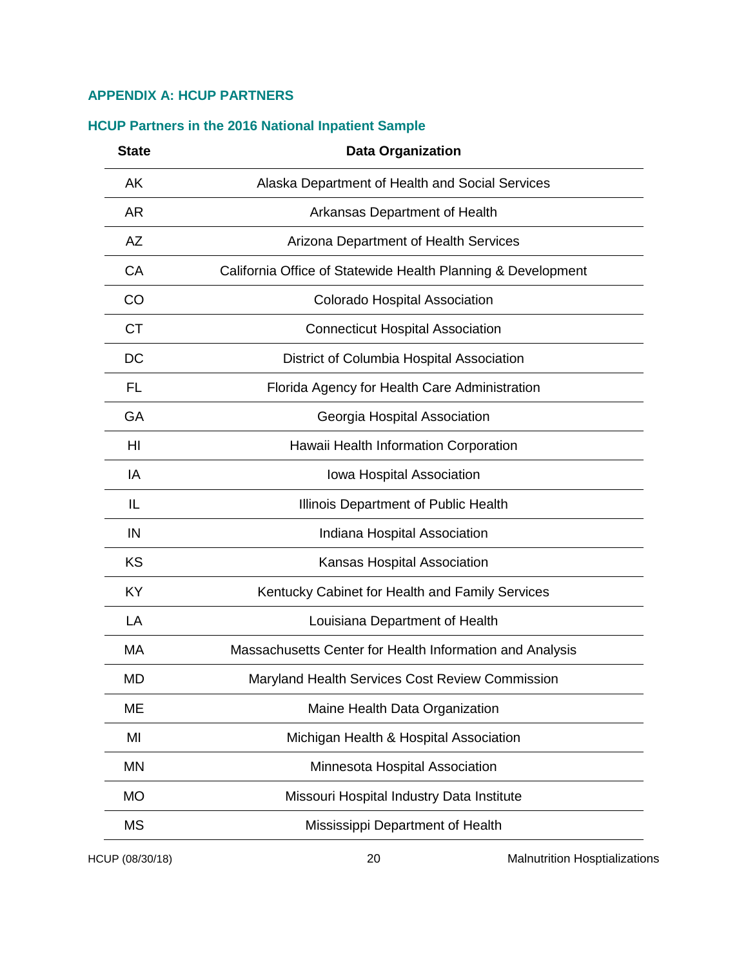# <span id="page-21-0"></span>**APPENDIX A: HCUP PARTNERS**

| <b>State</b> | <b>Data Organization</b>                                     |
|--------------|--------------------------------------------------------------|
| <b>AK</b>    | Alaska Department of Health and Social Services              |
| <b>AR</b>    | Arkansas Department of Health                                |
| <b>AZ</b>    | Arizona Department of Health Services                        |
| CA           | California Office of Statewide Health Planning & Development |
| CO           | <b>Colorado Hospital Association</b>                         |
| <b>CT</b>    | <b>Connecticut Hospital Association</b>                      |
| DC           | District of Columbia Hospital Association                    |
| FL           | Florida Agency for Health Care Administration                |
| GA           | Georgia Hospital Association                                 |
| HI           | Hawaii Health Information Corporation                        |
| IA           | Iowa Hospital Association                                    |
| IL           | Illinois Department of Public Health                         |
| IN           | Indiana Hospital Association                                 |
| KS           | Kansas Hospital Association                                  |
| <b>KY</b>    | Kentucky Cabinet for Health and Family Services              |
| LA           | Louisiana Department of Health                               |
| MA           | Massachusetts Center for Health Information and Analysis     |
| <b>MD</b>    | Maryland Health Services Cost Review Commission              |
| ME           | Maine Health Data Organization                               |
| MI           | Michigan Health & Hospital Association                       |
| MN           | Minnesota Hospital Association                               |
| <b>MO</b>    | Missouri Hospital Industry Data Institute                    |
| <b>MS</b>    | Mississippi Department of Health                             |
|              |                                                              |

# <span id="page-21-1"></span>**HCUP Partners in the 2016 National Inpatient Sample**

HCUP (08/30/18) 20 Malnutrition Hosptializations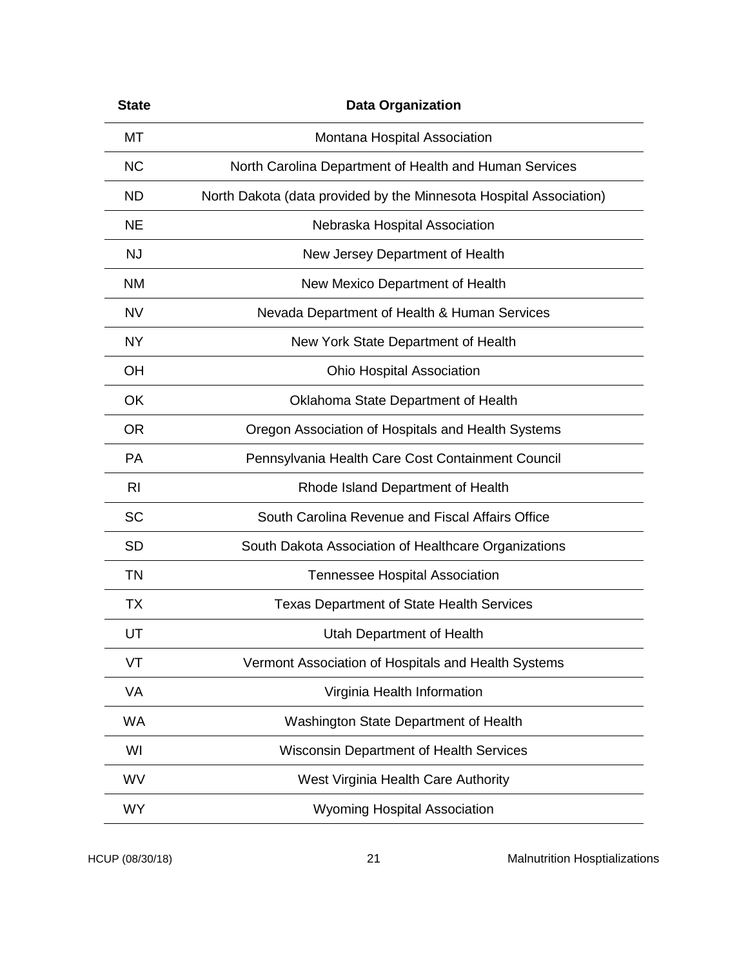| <b>State</b> | <b>Data Organization</b>                                           |
|--------------|--------------------------------------------------------------------|
| МT           | Montana Hospital Association                                       |
| <b>NC</b>    | North Carolina Department of Health and Human Services             |
| ND.          | North Dakota (data provided by the Minnesota Hospital Association) |
| <b>NE</b>    | Nebraska Hospital Association                                      |
| <b>NJ</b>    | New Jersey Department of Health                                    |
| <b>NM</b>    | New Mexico Department of Health                                    |
| <b>NV</b>    | Nevada Department of Health & Human Services                       |
| <b>NY</b>    | New York State Department of Health                                |
| <b>OH</b>    | <b>Ohio Hospital Association</b>                                   |
| OK           | Oklahoma State Department of Health                                |
| <b>OR</b>    | Oregon Association of Hospitals and Health Systems                 |
| <b>PA</b>    | Pennsylvania Health Care Cost Containment Council                  |
| <b>RI</b>    | Rhode Island Department of Health                                  |
| <b>SC</b>    | South Carolina Revenue and Fiscal Affairs Office                   |
| <b>SD</b>    | South Dakota Association of Healthcare Organizations               |
| <b>TN</b>    | <b>Tennessee Hospital Association</b>                              |
| ТX           | Texas Department of State Health Services                          |
| UT           | Utah Department of Health                                          |
| VT           | Vermont Association of Hospitals and Health Systems                |
| VA           | Virginia Health Information                                        |
| <b>WA</b>    | Washington State Department of Health                              |
| WI           | <b>Wisconsin Department of Health Services</b>                     |
| WV           | West Virginia Health Care Authority                                |
| <b>WY</b>    | <b>Wyoming Hospital Association</b>                                |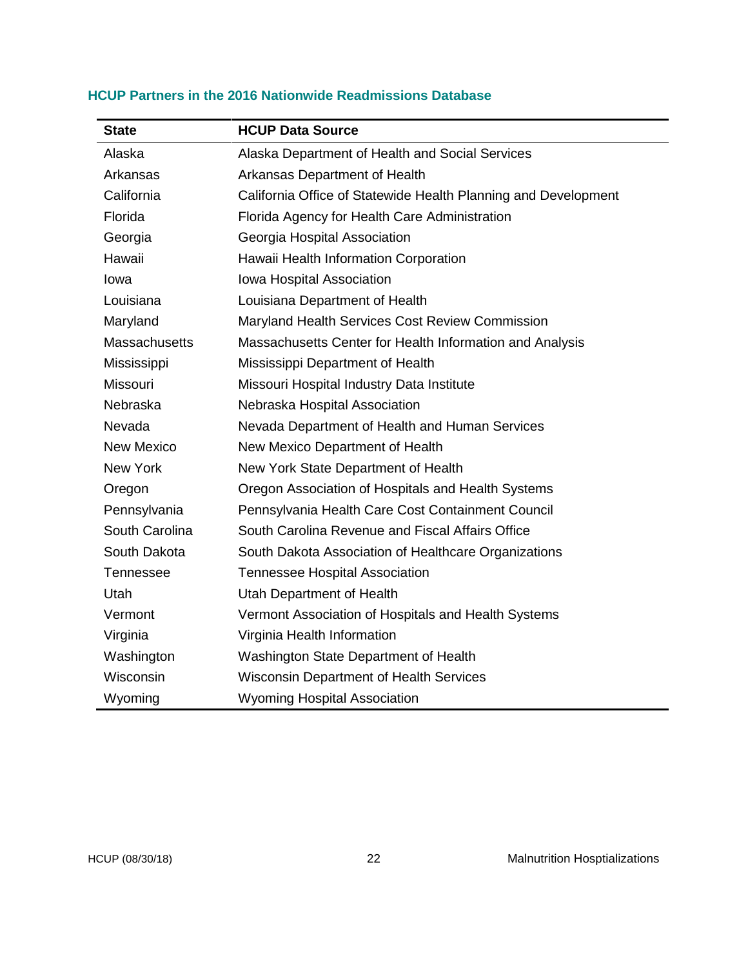| <b>State</b>         | <b>HCUP Data Source</b>                                        |
|----------------------|----------------------------------------------------------------|
| Alaska               | Alaska Department of Health and Social Services                |
| Arkansas             | Arkansas Department of Health                                  |
| California           | California Office of Statewide Health Planning and Development |
| Florida              | Florida Agency for Health Care Administration                  |
| Georgia              | Georgia Hospital Association                                   |
| Hawaii               | Hawaii Health Information Corporation                          |
| Iowa                 | Iowa Hospital Association                                      |
| Louisiana            | Louisiana Department of Health                                 |
| Maryland             | Maryland Health Services Cost Review Commission                |
| <b>Massachusetts</b> | Massachusetts Center for Health Information and Analysis       |
| Mississippi          | Mississippi Department of Health                               |
| Missouri             | Missouri Hospital Industry Data Institute                      |
| Nebraska             | Nebraska Hospital Association                                  |
| Nevada               | Nevada Department of Health and Human Services                 |
| <b>New Mexico</b>    | New Mexico Department of Health                                |
| New York             | New York State Department of Health                            |
| Oregon               | Oregon Association of Hospitals and Health Systems             |
| Pennsylvania         | Pennsylvania Health Care Cost Containment Council              |
| South Carolina       | South Carolina Revenue and Fiscal Affairs Office               |
| South Dakota         | South Dakota Association of Healthcare Organizations           |
| <b>Tennessee</b>     | <b>Tennessee Hospital Association</b>                          |
| Utah                 | Utah Department of Health                                      |
| Vermont              | Vermont Association of Hospitals and Health Systems            |
| Virginia             | Virginia Health Information                                    |
| Washington           | Washington State Department of Health                          |
| Wisconsin            | <b>Wisconsin Department of Health Services</b>                 |
| Wyoming              | <b>Wyoming Hospital Association</b>                            |

# <span id="page-23-0"></span>**HCUP Partners in the 2016 Nationwide Readmissions Database**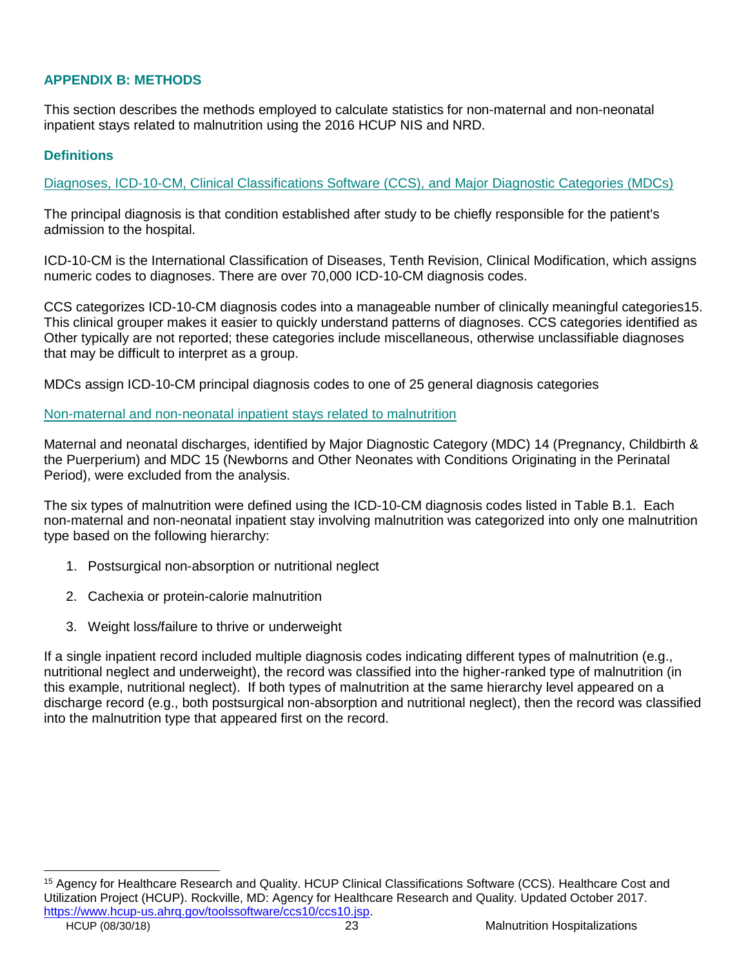# <span id="page-24-0"></span>**APPENDIX B: METHODS**

This section describes the methods employed to calculate statistics for non-maternal and non-neonatal inpatient stays related to malnutrition using the 2016 HCUP NIS and NRD.

# <span id="page-24-1"></span>**Definitions**

<span id="page-24-2"></span>Diagnoses, ICD-10-CM, Clinical Classifications Software (CCS), and Major Diagnostic Categories (MDCs)

The principal diagnosis is that condition established after study to be chiefly responsible for the patient's admission to the hospital.

ICD-10-CM is the International Classification of Diseases, Tenth Revision, Clinical Modification, which assigns numeric codes to diagnoses. There are over 70,000 ICD-10-CM diagnosis codes.

CCS categorizes ICD-10-CM diagnosis codes into a manageable number of clinically meaningful categories15. This clinical grouper makes it easier to quickly understand patterns of diagnoses. CCS categories identified as Other typically are not reported; these categories include miscellaneous, otherwise unclassifiable diagnoses that may be difficult to interpret as a group.

MDCs assign ICD-10-CM principal diagnosis codes to one of 25 general diagnosis categories

#### <span id="page-24-3"></span>Non-maternal and non-neonatal inpatient stays related to malnutrition

Maternal and neonatal discharges, identified by Major Diagnostic Category (MDC) 14 (Pregnancy, Childbirth & the Puerperium) and MDC 15 (Newborns and Other Neonates with Conditions Originating in the Perinatal Period), were excluded from the analysis.

The six types of malnutrition were defined using the ICD-10-CM diagnosis codes listed in Table B.1. Each non-maternal and non-neonatal inpatient stay involving malnutrition was categorized into only one malnutrition type based on the following hierarchy:

- 1. Postsurgical non-absorption or nutritional neglect
- 2. Cachexia or protein-calorie malnutrition
- 3. Weight loss/failure to thrive or underweight

If a single inpatient record included multiple diagnosis codes indicating different types of malnutrition (e.g., nutritional neglect and underweight), the record was classified into the higher-ranked type of malnutrition (in this example, nutritional neglect). If both types of malnutrition at the same hierarchy level appeared on a discharge record (e.g., both postsurgical non-absorption and nutritional neglect), then the record was classified into the malnutrition type that appeared first on the record.

<sup>15</sup> Agency for Healthcare Research and Quality. HCUP Clinical Classifications Software (CCS). Healthcare Cost and Utilization Project (HCUP). Rockville, MD: Agency for Healthcare Research and Quality. Updated October 2017. [https://www.hcup-us.ahrq.gov/toolssoftware/ccs10/ccs10.jsp.](https://www.hcup-us.ahrq.gov/toolssoftware/ccs10/ccs10.jsp)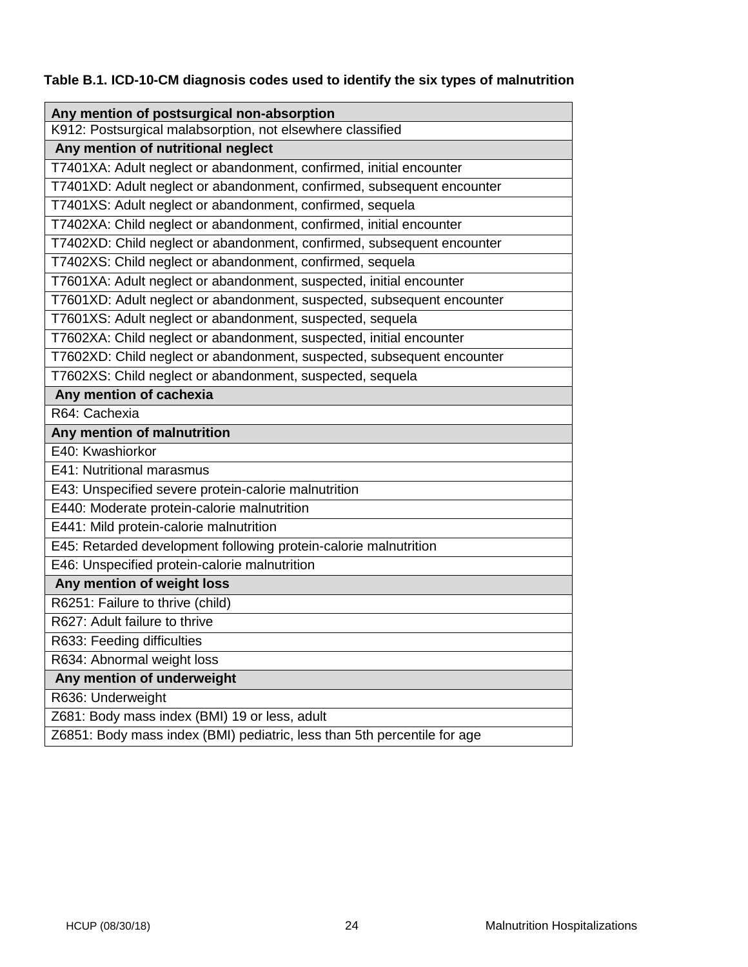**Table B.1. ICD-10-CM diagnosis codes used to identify the six types of malnutrition** 

<span id="page-25-0"></span>

| Any mention of postsurgical non-absorption                               |  |  |
|--------------------------------------------------------------------------|--|--|
| K912: Postsurgical malabsorption, not elsewhere classified               |  |  |
| Any mention of nutritional neglect                                       |  |  |
| T7401XA: Adult neglect or abandonment, confirmed, initial encounter      |  |  |
| T7401XD: Adult neglect or abandonment, confirmed, subsequent encounter   |  |  |
| T7401XS: Adult neglect or abandonment, confirmed, sequela                |  |  |
| T7402XA: Child neglect or abandonment, confirmed, initial encounter      |  |  |
| T7402XD: Child neglect or abandonment, confirmed, subsequent encounter   |  |  |
| T7402XS: Child neglect or abandonment, confirmed, sequela                |  |  |
| T7601XA: Adult neglect or abandonment, suspected, initial encounter      |  |  |
| T7601XD: Adult neglect or abandonment, suspected, subsequent encounter   |  |  |
| T7601XS: Adult neglect or abandonment, suspected, sequela                |  |  |
| T7602XA: Child neglect or abandonment, suspected, initial encounter      |  |  |
| T7602XD: Child neglect or abandonment, suspected, subsequent encounter   |  |  |
| T7602XS: Child neglect or abandonment, suspected, sequela                |  |  |
| Any mention of cachexia                                                  |  |  |
| R64: Cachexia                                                            |  |  |
| Any mention of malnutrition                                              |  |  |
| E40: Kwashiorkor                                                         |  |  |
| E41: Nutritional marasmus                                                |  |  |
| E43: Unspecified severe protein-calorie malnutrition                     |  |  |
| E440: Moderate protein-calorie malnutrition                              |  |  |
| E441: Mild protein-calorie malnutrition                                  |  |  |
| E45: Retarded development following protein-calorie malnutrition         |  |  |
| E46: Unspecified protein-calorie malnutrition                            |  |  |
| Any mention of weight loss                                               |  |  |
| R6251: Failure to thrive (child)                                         |  |  |
| R627: Adult failure to thrive                                            |  |  |
| R633: Feeding difficulties                                               |  |  |
| R634: Abnormal weight loss                                               |  |  |
| Any mention of underweight                                               |  |  |
| R636: Underweight                                                        |  |  |
| Z681: Body mass index (BMI) 19 or less, adult                            |  |  |
| Z6851: Body mass index (BMI) pediatric, less than 5th percentile for age |  |  |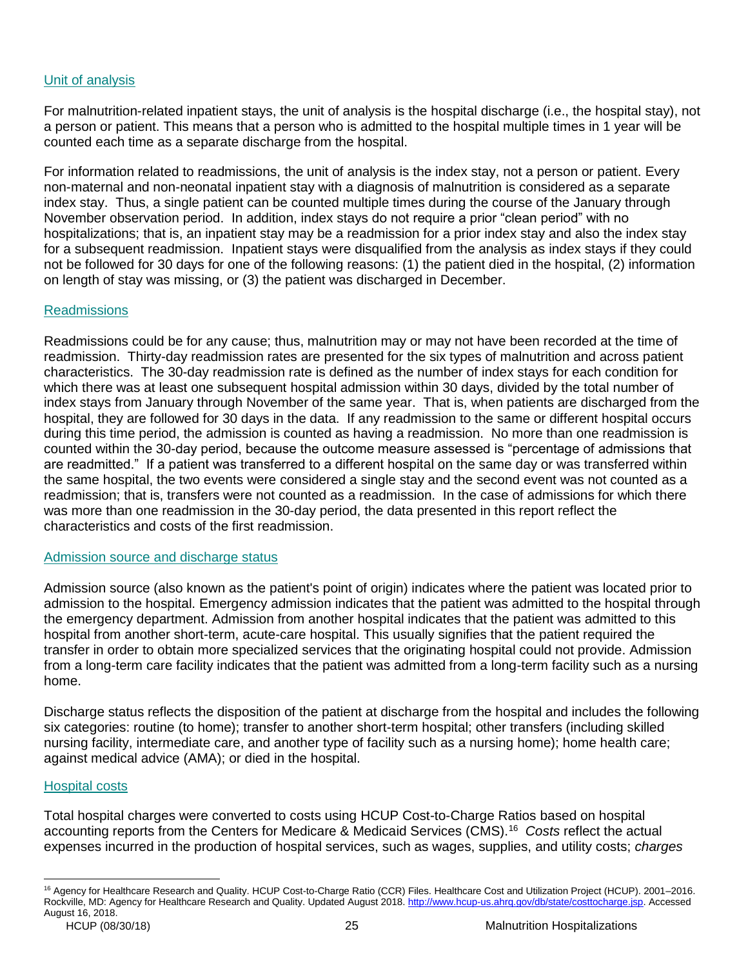# Unit of analysis

For malnutrition-related inpatient stays, the unit of analysis is the hospital discharge (i.e., the hospital stay), not a person or patient. This means that a person who is admitted to the hospital multiple times in 1 year will be counted each time as a separate discharge from the hospital.

For information related to readmissions, the unit of analysis is the index stay, not a person or patient. Every non-maternal and non-neonatal inpatient stay with a diagnosis of malnutrition is considered as a separate index stay. Thus, a single patient can be counted multiple times during the course of the January through November observation period. In addition, index stays do not require a prior "clean period" with no hospitalizations; that is, an inpatient stay may be a readmission for a prior index stay and also the index stay for a subsequent readmission. Inpatient stays were disqualified from the analysis as index stays if they could not be followed for 30 days for one of the following reasons: (1) the patient died in the hospital, (2) information on length of stay was missing, or (3) the patient was discharged in December.

#### <span id="page-26-0"></span>Readmissions

Readmissions could be for any cause; thus, malnutrition may or may not have been recorded at the time of readmission. Thirty-day readmission rates are presented for the six types of malnutrition and across patient characteristics. The 30-day readmission rate is defined as the number of index stays for each condition for which there was at least one subsequent hospital admission within 30 days, divided by the total number of index stays from January through November of the same year. That is, when patients are discharged from the hospital, they are followed for 30 days in the data. If any readmission to the same or different hospital occurs during this time period, the admission is counted as having a readmission. No more than one readmission is counted within the 30-day period, because the outcome measure assessed is "percentage of admissions that are readmitted." If a patient was transferred to a different hospital on the same day or was transferred within the same hospital, the two events were considered a single stay and the second event was not counted as a readmission; that is, transfers were not counted as a readmission. In the case of admissions for which there was more than one readmission in the 30-day period, the data presented in this report reflect the characteristics and costs of the first readmission.

#### <span id="page-26-1"></span>Admission source and discharge status

Admission source (also known as the patient's point of origin) indicates where the patient was located prior to admission to the hospital. Emergency admission indicates that the patient was admitted to the hospital through the emergency department. Admission from another hospital indicates that the patient was admitted to this hospital from another short-term, acute-care hospital. This usually signifies that the patient required the transfer in order to obtain more specialized services that the originating hospital could not provide. Admission from a long-term care facility indicates that the patient was admitted from a long-term facility such as a nursing home.

Discharge status reflects the disposition of the patient at discharge from the hospital and includes the following six categories: routine (to home); transfer to another short-term hospital; other transfers (including skilled nursing facility, intermediate care, and another type of facility such as a nursing home); home health care; against medical advice (AMA); or died in the hospital.

# <span id="page-26-2"></span>Hospital costs

 $\overline{a}$ 

Total hospital charges were converted to costs using HCUP Cost-to-Charge Ratios based on hospital accounting reports from the Centers for Medicare & Medicaid Services (CMS).<sup>16</sup> *Costs* reflect the actual expenses incurred in the production of hospital services, such as wages, supplies, and utility costs; *charges*

<sup>16</sup> Agency for Healthcare Research and Quality. HCUP Cost-to-Charge Ratio (CCR) Files. Healthcare Cost and Utilization Project (HCUP). 2001–2016. Rockville, MD: Agency for Healthcare Research and Quality. Updated August 2018. [http://www.hcup-us.ahrq.gov/db/state/costtocharge.jsp.](http://www.hcup-us.ahrq.gov/db/state/costtocharge.jsp) Accessed August 16, 2018.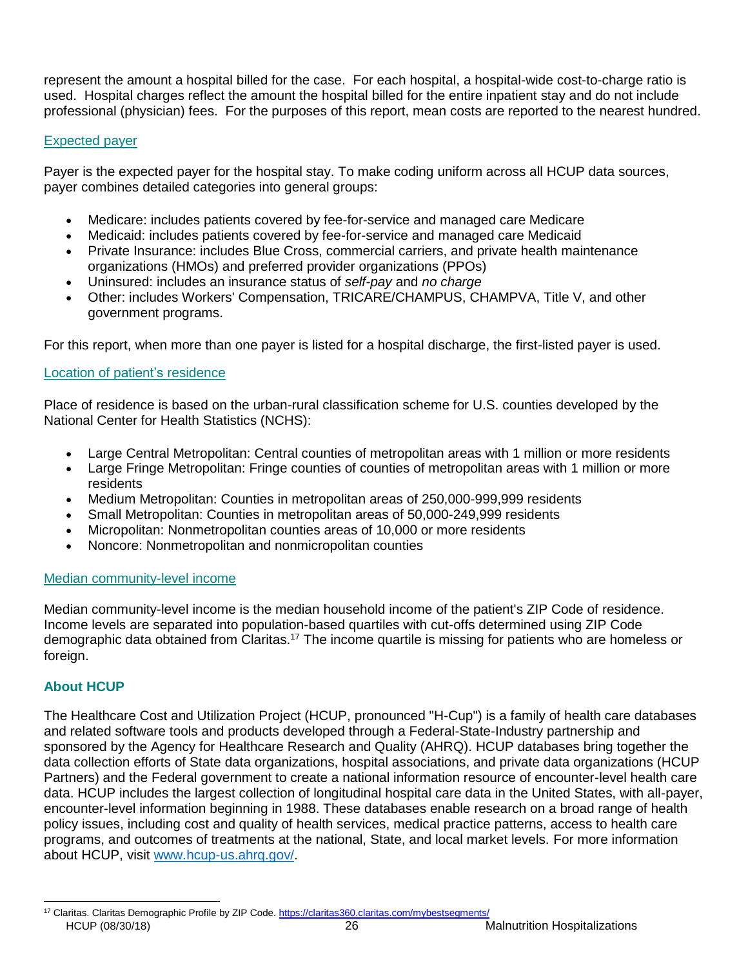represent the amount a hospital billed for the case. For each hospital, a hospital-wide cost-to-charge ratio is used. Hospital charges reflect the amount the hospital billed for the entire inpatient stay and do not include professional (physician) fees. For the purposes of this report, mean costs are reported to the nearest hundred.

# <span id="page-27-0"></span>Expected payer

Payer is the expected payer for the hospital stay. To make coding uniform across all HCUP data sources, payer combines detailed categories into general groups:

- Medicare: includes patients covered by fee-for-service and managed care Medicare
- Medicaid: includes patients covered by fee-for-service and managed care Medicaid
- Private Insurance: includes Blue Cross, commercial carriers, and private health maintenance organizations (HMOs) and preferred provider organizations (PPOs)
- Uninsured: includes an insurance status of *self-pay* and *no charge*
- Other: includes Workers' Compensation, TRICARE/CHAMPUS, CHAMPVA, Title V, and other government programs.

For this report, when more than one payer is listed for a hospital discharge, the first-listed payer is used.

# <span id="page-27-1"></span>Location of patient's residence

Place of residence is based on the urban-rural classification scheme for U.S. counties developed by the National Center for Health Statistics (NCHS):

- Large Central Metropolitan: Central counties of metropolitan areas with 1 million or more residents
- Large Fringe Metropolitan: Fringe counties of counties of metropolitan areas with 1 million or more residents
- Medium Metropolitan: Counties in metropolitan areas of 250,000-999,999 residents
- Small Metropolitan: Counties in metropolitan areas of 50,000-249,999 residents
- Micropolitan: Nonmetropolitan counties areas of 10,000 or more residents
- Noncore: Nonmetropolitan and nonmicropolitan counties

# <span id="page-27-2"></span>Median community-level income

Median community-level income is the median household income of the patient's ZIP Code of residence. Income levels are separated into population-based quartiles with cut-offs determined using ZIP Code demographic data obtained from Claritas.<sup>17</sup> The income quartile is missing for patients who are homeless or foreign.

# <span id="page-27-3"></span>**About HCUP**

The Healthcare Cost and Utilization Project (HCUP, pronounced "H-Cup") is a family of health care databases and related software tools and products developed through a Federal-State-Industry partnership and sponsored by the Agency for Healthcare Research and Quality (AHRQ). HCUP databases bring together the data collection efforts of State data organizations, hospital associations, and private data organizations (HCUP Partners) and the Federal government to create a national information resource of encounter-level health care data. HCUP includes the largest collection of longitudinal hospital care data in the United States, with all-payer, encounter-level information beginning in 1988. These databases enable research on a broad range of health policy issues, including cost and quality of health services, medical practice patterns, access to health care programs, and outcomes of treatments at the national, State, and local market levels. For more information about HCUP, visit [www.hcup-us.ahrq.gov/.](https://www.hcup-us.ahrq.gov/)

 $\overline{a}$ 

<sup>&</sup>lt;sup>17</sup> Claritas. Claritas Demographic Profile by ZIP Code[. https://claritas360.claritas.com/mybestsegments/](https://www.hcup-us.ahrq.gov/reports/statbriefs/sb242-Pediatric-ED-Visits-2015.jsp)